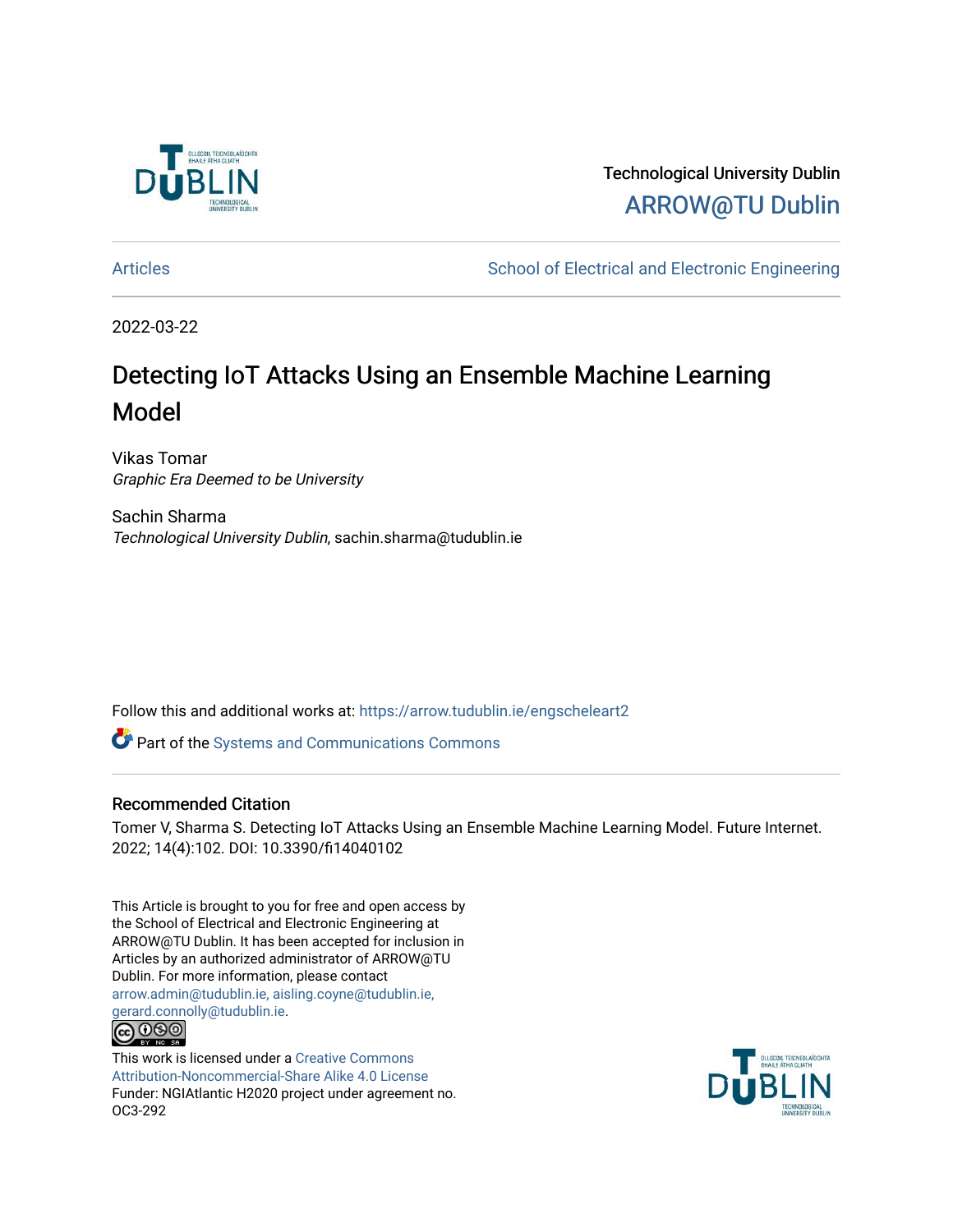

Technological University Dublin [ARROW@TU Dublin](https://arrow.tudublin.ie/) 

[Articles](https://arrow.tudublin.ie/engscheleart2) **School of Electrical and Electronic Engineering** School of Electronic Engineering

2022-03-22

# Detecting IoT Attacks Using an Ensemble Machine Learning Model

Vikas Tomar Graphic Era Deemed to be University

Sachin Sharma Technological University Dublin, sachin.sharma@tudublin.ie

Follow this and additional works at: [https://arrow.tudublin.ie/engscheleart2](https://arrow.tudublin.ie/engscheleart2?utm_source=arrow.tudublin.ie%2Fengscheleart2%2F302&utm_medium=PDF&utm_campaign=PDFCoverPages)

Part of the [Systems and Communications Commons](http://network.bepress.com/hgg/discipline/276?utm_source=arrow.tudublin.ie%2Fengscheleart2%2F302&utm_medium=PDF&utm_campaign=PDFCoverPages) 

### Recommended Citation

Tomer V, Sharma S. Detecting IoT Attacks Using an Ensemble Machine Learning Model. Future Internet. 2022; 14(4):102. DOI: 10.3390/fi14040102

This Article is brought to you for free and open access by the School of Electrical and Electronic Engineering at ARROW@TU Dublin. It has been accepted for inclusion in Articles by an authorized administrator of ARROW@TU Dublin. For more information, please contact [arrow.admin@tudublin.ie, aisling.coyne@tudublin.ie,](mailto:arrow.admin@tudublin.ie,%20aisling.coyne@tudublin.ie,%20gerard.connolly@tudublin.ie)  [gerard.connolly@tudublin.ie](mailto:arrow.admin@tudublin.ie,%20aisling.coyne@tudublin.ie,%20gerard.connolly@tudublin.ie).



This work is licensed under a [Creative Commons](http://creativecommons.org/licenses/by-nc-sa/4.0/) [Attribution-Noncommercial-Share Alike 4.0 License](http://creativecommons.org/licenses/by-nc-sa/4.0/) Funder: NGIAtlantic H2020 project under agreement no. OC3-292

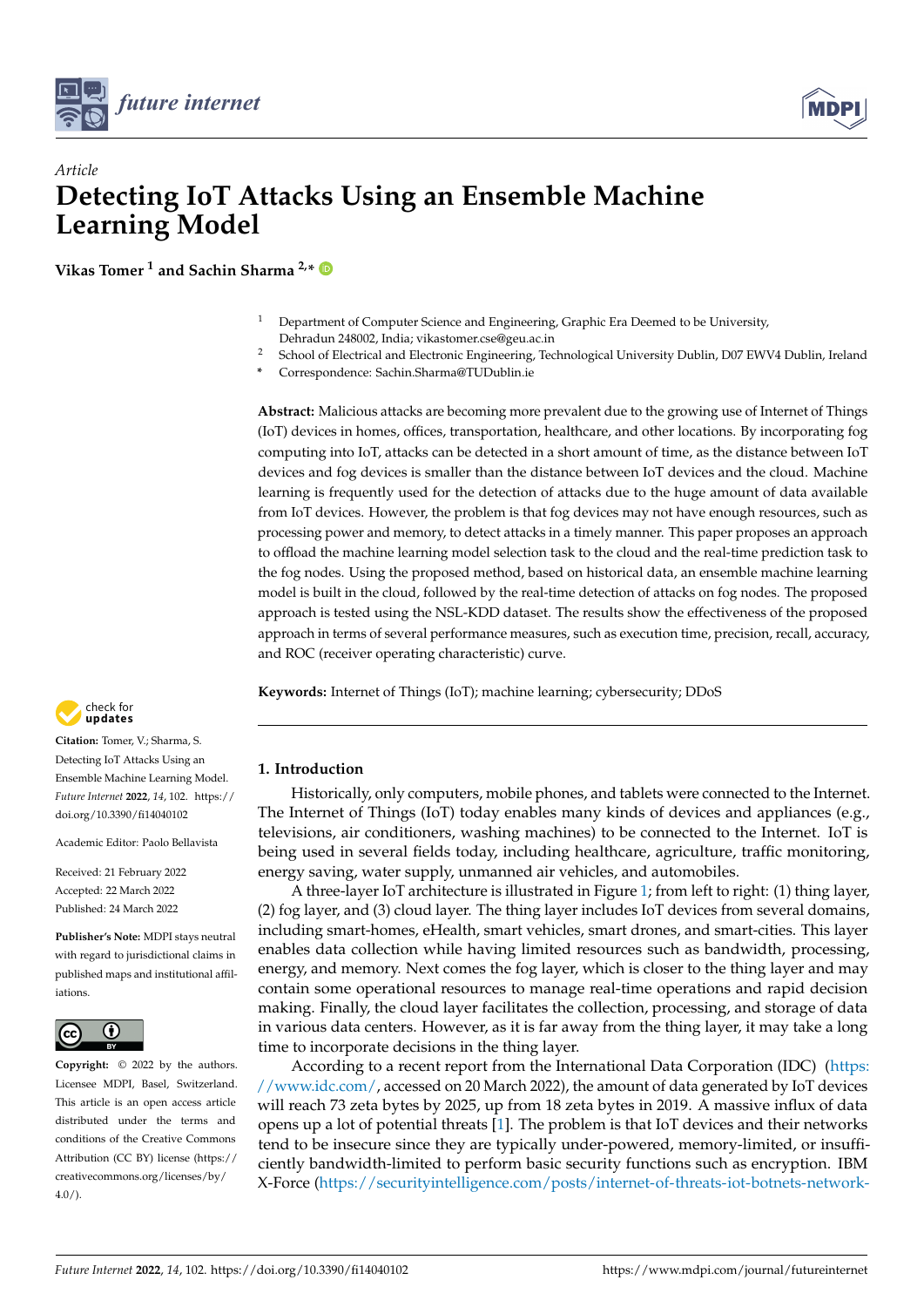



## *Article* **Detecting IoT Attacks Using an Ensemble Machine Learning Model**

**Vikas Tomer <sup>1</sup> and Sachin Sharma 2,\***

- <sup>1</sup> Department of Computer Science and Engineering, Graphic Era Deemed to be University, Dehradun 248002, India; vikastomer.cse@geu.ac.in
- <sup>2</sup> School of Electrical and Electronic Engineering, Technological University Dublin, D07 EWV4 Dublin, Ireland
- **\*** Correspondence: Sachin.Sharma@TUDublin.ie

**Abstract:** Malicious attacks are becoming more prevalent due to the growing use of Internet of Things (IoT) devices in homes, offices, transportation, healthcare, and other locations. By incorporating fog computing into IoT, attacks can be detected in a short amount of time, as the distance between IoT devices and fog devices is smaller than the distance between IoT devices and the cloud. Machine learning is frequently used for the detection of attacks due to the huge amount of data available from IoT devices. However, the problem is that fog devices may not have enough resources, such as processing power and memory, to detect attacks in a timely manner. This paper proposes an approach to offload the machine learning model selection task to the cloud and the real-time prediction task to the fog nodes. Using the proposed method, based on historical data, an ensemble machine learning model is built in the cloud, followed by the real-time detection of attacks on fog nodes. The proposed approach is tested using the NSL-KDD dataset. The results show the effectiveness of the proposed approach in terms of several performance measures, such as execution time, precision, recall, accuracy, and ROC (receiver operating characteristic) curve.

**Keywords:** Internet of Things (IoT); machine learning; cybersecurity; DDoS



**Citation:** Tomer, V.; Sharma, S. Detecting IoT Attacks Using an Ensemble Machine Learning Model. *Future Internet* **2022**, *14*, 102. [https://](https://doi.org/10.3390/fi14040102) [doi.org/10.3390/fi14040102](https://doi.org/10.3390/fi14040102)

Academic Editor: Paolo Bellavista

Received: 21 February 2022 Accepted: 22 March 2022 Published: 24 March 2022

**Publisher's Note:** MDPI stays neutral with regard to jurisdictional claims in published maps and institutional affiliations.



**Copyright:** © 2022 by the authors. Licensee MDPI, Basel, Switzerland. This article is an open access article distributed under the terms and conditions of the Creative Commons Attribution (CC BY) license [\(https://](https://creativecommons.org/licenses/by/4.0/) [creativecommons.org/licenses/by/](https://creativecommons.org/licenses/by/4.0/)  $4.0/$ ).

**1. Introduction**

Historically, only computers, mobile phones, and tablets were connected to the Internet. The Internet of Things (IoT) today enables many kinds of devices and appliances (e.g., televisions, air conditioners, washing machines) to be connected to the Internet. IoT is being used in several fields today, including healthcare, agriculture, traffic monitoring, energy saving, water supply, unmanned air vehicles, and automobiles.

A three-layer IoT architecture is illustrated in Figure [1;](#page-2-0) from left to right: (1) thing layer, (2) fog layer, and (3) cloud layer. The thing layer includes IoT devices from several domains, including smart-homes, eHealth, smart vehicles, smart drones, and smart-cities. This layer enables data collection while having limited resources such as bandwidth, processing, energy, and memory. Next comes the fog layer, which is closer to the thing layer and may contain some operational resources to manage real-time operations and rapid decision making. Finally, the cloud layer facilitates the collection, processing, and storage of data in various data centers. However, as it is far away from the thing layer, it may take a long time to incorporate decisions in the thing layer.

According to a recent report from the International Data Corporation (IDC) [\(https:](https://www.idc.com/) [//www.idc.com/,](https://www.idc.com/) accessed on 20 March 2022), the amount of data generated by IoT devices will reach 73 zeta bytes by 2025, up from 18 zeta bytes in 2019. A massive influx of data opens up a lot of potential threats [\[1\]](#page-15-0). The problem is that IoT devices and their networks tend to be insecure since they are typically under-powered, memory-limited, or insufficiently bandwidth-limited to perform basic security functions such as encryption. IBM X-Force [\(https://securityintelligence.com/posts/internet-of-threats-iot-botnets-network-](https://securityintelligence.com/posts/internet-of-threats-iot-botnets-network-attacks/)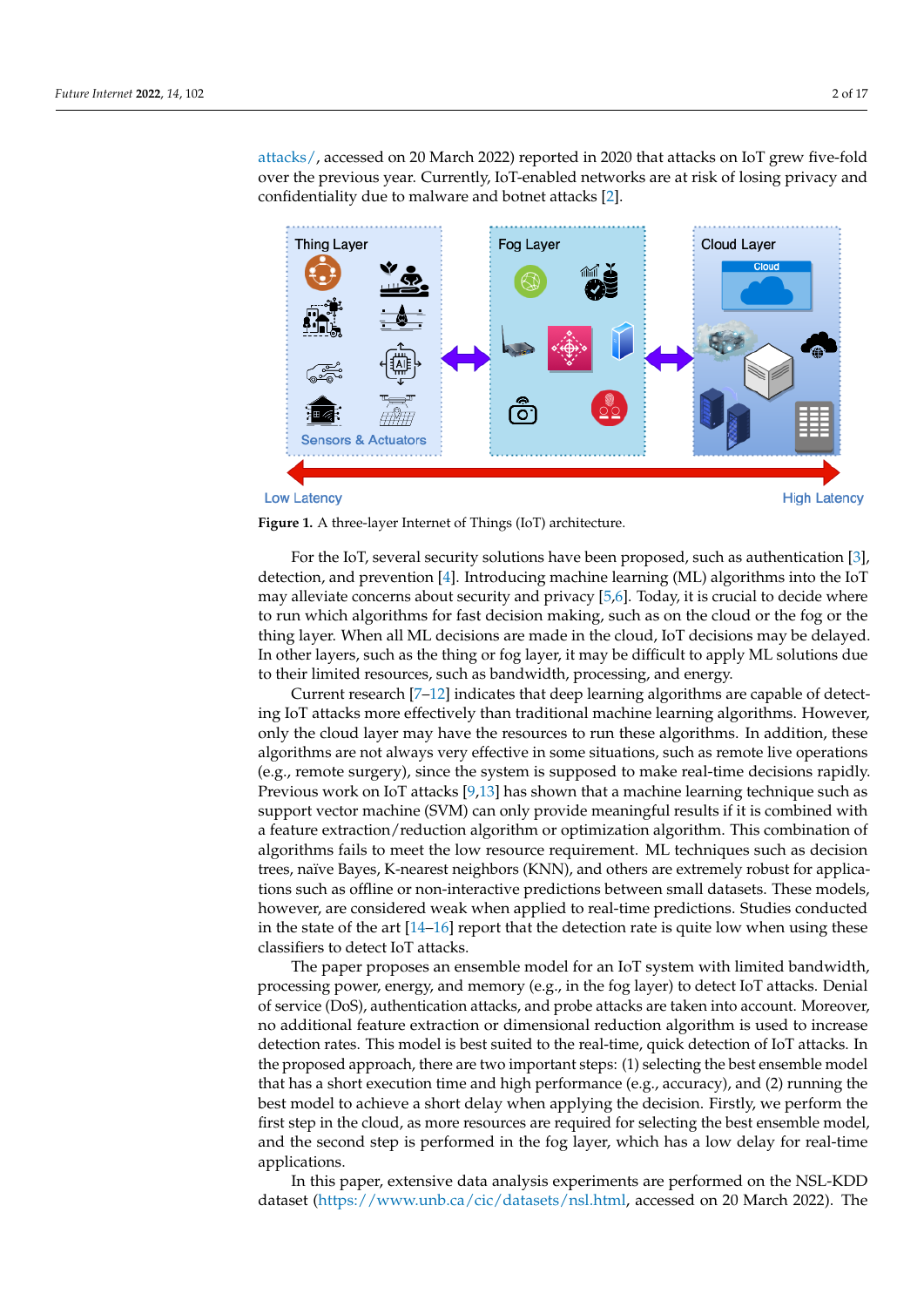[attacks/,](https://securityintelligence.com/posts/internet-of-threats-iot-botnets-network-attacks/) accessed on 20 March 2022) reported in 2020 that attacks on IoT grew five-fold over the previous year. Currently, IoT-enabled networks are at risk of losing privacy and confidentiality due to malware and botnet attacks [\[2\]](#page-15-1).

<span id="page-2-0"></span>

#### **Low Latency**





For the IoT, several security solutions have been proposed, such as authentication [\[3\]](#page-15-2), detection, and prevention [\[4\]](#page-15-3). Introducing machine learning (ML) algorithms into the IoT may alleviate concerns about security and privacy [\[5,](#page-15-4)[6\]](#page-15-5). Today, it is crucial to decide where to run which algorithms for fast decision making, such as on the cloud or the fog or the thing layer. When all ML decisions are made in the cloud, IoT decisions may be delayed. In other layers, such as the thing or fog layer, it may be difficult to apply ML solutions due to their limited resources, such as bandwidth, processing, and energy.

Current research [\[7–](#page-15-6)[12\]](#page-16-0) indicates that deep learning algorithms are capable of detecting IoT attacks more effectively than traditional machine learning algorithms. However, only the cloud layer may have the resources to run these algorithms. In addition, these algorithms are not always very effective in some situations, such as remote live operations (e.g., remote surgery), since the system is supposed to make real-time decisions rapidly. Previous work on IoT attacks [\[9](#page-16-1)[,13\]](#page-16-2) has shown that a machine learning technique such as support vector machine (SVM) can only provide meaningful results if it is combined with a feature extraction/reduction algorithm or optimization algorithm. This combination of algorithms fails to meet the low resource requirement. ML techniques such as decision trees, naïve Bayes, K-nearest neighbors (KNN), and others are extremely robust for applications such as offline or non-interactive predictions between small datasets. These models, however, are considered weak when applied to real-time predictions. Studies conducted in the state of the art  $[14–16]$  $[14–16]$  report that the detection rate is quite low when using these classifiers to detect IoT attacks.

The paper proposes an ensemble model for an IoT system with limited bandwidth, processing power, energy, and memory (e.g., in the fog layer) to detect IoT attacks. Denial of service (DoS), authentication attacks, and probe attacks are taken into account. Moreover, no additional feature extraction or dimensional reduction algorithm is used to increase detection rates. This model is best suited to the real-time, quick detection of IoT attacks. In the proposed approach, there are two important steps: (1) selecting the best ensemble model that has a short execution time and high performance (e.g., accuracy), and (2) running the best model to achieve a short delay when applying the decision. Firstly, we perform the first step in the cloud, as more resources are required for selecting the best ensemble model, and the second step is performed in the fog layer, which has a low delay for real-time applications.

In this paper, extensive data analysis experiments are performed on the NSL-KDD dataset [\(https://www.unb.ca/cic/datasets/nsl.html,](https://www.unb.ca/cic/datasets/nsl.html) accessed on 20 March 2022). The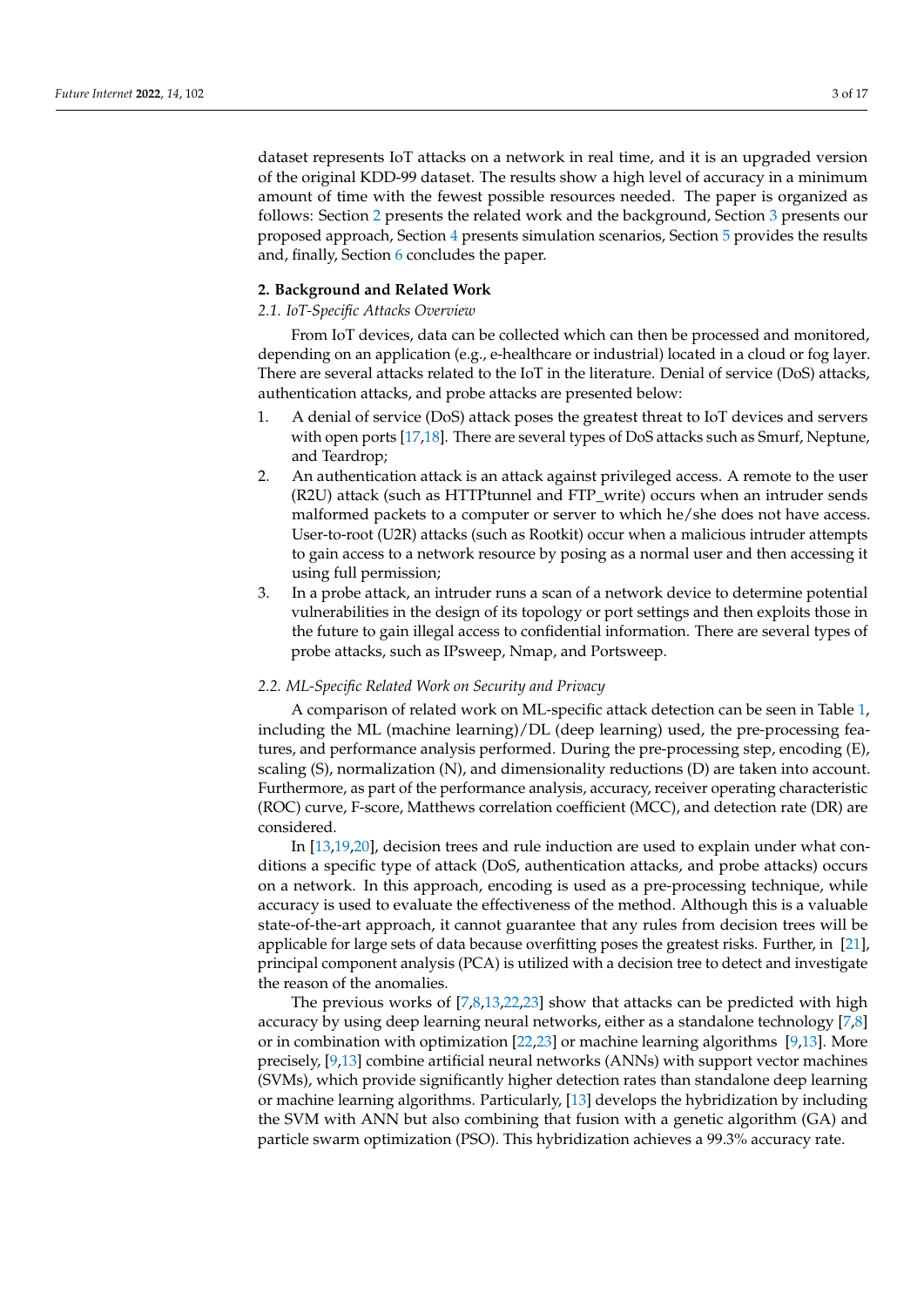dataset represents IoT attacks on a network in real time, and it is an upgraded version of the original KDD-99 dataset. The results show a high level of accuracy in a minimum amount of time with the fewest possible resources needed. The paper is organized as follows: Section [2](#page-3-0) presents the related work and the background, Section [3](#page-6-0) presents our proposed approach, Section [4](#page-9-0) presents simulation scenarios, Section [5](#page-10-0) provides the results and, finally, Section [6](#page-15-7) concludes the paper.

#### <span id="page-3-0"></span>**2. Background and Related Work**

#### *2.1. IoT-Specific Attacks Overview*

From IoT devices, data can be collected which can then be processed and monitored, depending on an application (e.g., e-healthcare or industrial) located in a cloud or fog layer. There are several attacks related to the IoT in the literature. Denial of service (DoS) attacks, authentication attacks, and probe attacks are presented below:

- 1. A denial of service (DoS) attack poses the greatest threat to IoT devices and servers with open ports [\[17](#page-16-5)[,18\]](#page-16-6). There are several types of DoS attacks such as Smurf, Neptune, and Teardrop;
- 2. An authentication attack is an attack against privileged access. A remote to the user (R2U) attack (such as HTTPtunnel and FTP\_write) occurs when an intruder sends malformed packets to a computer or server to which he/she does not have access. User-to-root (U2R) attacks (such as Rootkit) occur when a malicious intruder attempts to gain access to a network resource by posing as a normal user and then accessing it using full permission;
- 3. In a probe attack, an intruder runs a scan of a network device to determine potential vulnerabilities in the design of its topology or port settings and then exploits those in the future to gain illegal access to confidential information. There are several types of probe attacks, such as IPsweep, Nmap, and Portsweep.

#### *2.2. ML-Specific Related Work on Security and Privacy*

A comparison of related work on ML-specific attack detection can be seen in Table [1,](#page-4-0) including the ML (machine learning)/DL (deep learning) used, the pre-processing features, and performance analysis performed. During the pre-processing step, encoding (E), scaling (S), normalization (N), and dimensionality reductions (D) are taken into account. Furthermore, as part of the performance analysis, accuracy, receiver operating characteristic (ROC) curve, F-score, Matthews correlation coefficient (MCC), and detection rate (DR) are considered.

In [\[13,](#page-16-2)[19,](#page-16-7)[20\]](#page-16-8), decision trees and rule induction are used to explain under what conditions a specific type of attack (DoS, authentication attacks, and probe attacks) occurs on a network. In this approach, encoding is used as a pre-processing technique, while accuracy is used to evaluate the effectiveness of the method. Although this is a valuable state-of-the-art approach, it cannot guarantee that any rules from decision trees will be applicable for large sets of data because overfitting poses the greatest risks. Further, in [\[21\]](#page-16-9), principal component analysis (PCA) is utilized with a decision tree to detect and investigate the reason of the anomalies.

The previous works of [\[7,](#page-15-6)[8](#page-16-10)[,13](#page-16-2)[,22](#page-16-11)[,23\]](#page-16-12) show that attacks can be predicted with high accuracy by using deep learning neural networks, either as a standalone technology [\[7](#page-15-6)[,8\]](#page-16-10) or in combination with optimization [\[22](#page-16-11)[,23\]](#page-16-12) or machine learning algorithms [\[9](#page-16-1)[,13\]](#page-16-2). More precisely, [\[9,](#page-16-1)[13\]](#page-16-2) combine artificial neural networks (ANNs) with support vector machines (SVMs), which provide significantly higher detection rates than standalone deep learning or machine learning algorithms. Particularly, [\[13\]](#page-16-2) develops the hybridization by including the SVM with ANN but also combining that fusion with a genetic algorithm (GA) and particle swarm optimization (PSO). This hybridization achieves a 99.3% accuracy rate.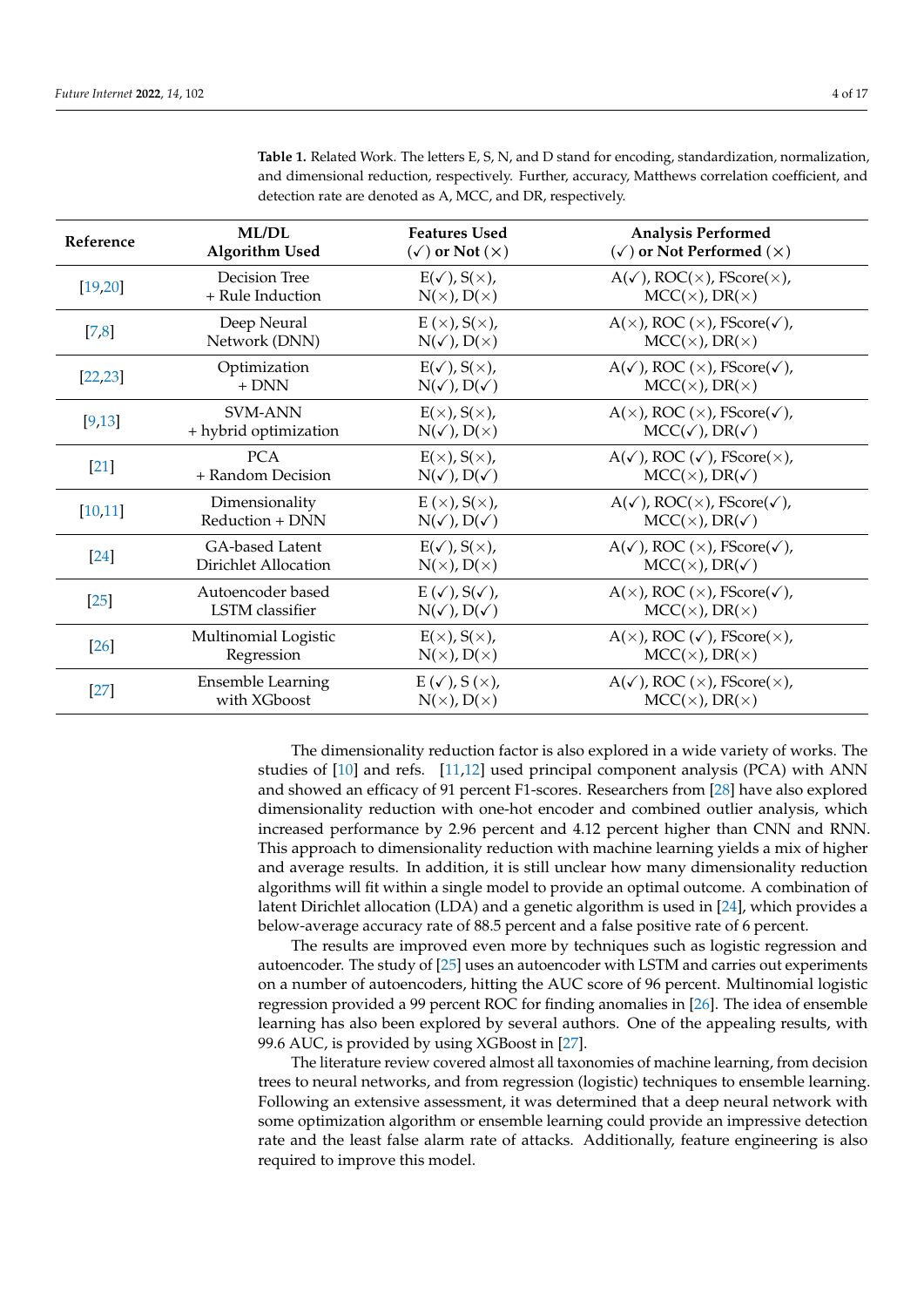| Reference | <b>ML/DL</b>             | <b>Features Used</b>              | <b>Analysis Performed</b>                                  |
|-----------|--------------------------|-----------------------------------|------------------------------------------------------------|
|           | <b>Algorithm Used</b>    | $(\checkmark)$ or Not $(\times)$  | $(\checkmark)$ or Not Performed $(\times)$                 |
| [19,20]   | Decision Tree            | $E(\checkmark)$ , $S(\times)$ ,   | $A(\checkmark)$ , ROC( $\times$ ), FScore( $\times$ ),     |
|           | + Rule Induction         | $N(x)$ , $D(x)$                   | $MCC(x)$ , DR( $x$ )                                       |
| $[7,8]$   | Deep Neural              | E(x), S(x),                       | $A(x)$ , ROC $(x)$ , FScore $(x)$ ,                        |
|           | Network (DNN)            | $N(\checkmark)$ , $D(\times)$     | $MCC(x)$ , DR( $x$ )                                       |
| [22, 23]  | Optimization             | $E(\checkmark)$ , $S(\times)$ ,   | $A(\checkmark)$ , ROC $(\times)$ , FScore $(\checkmark)$ , |
|           | $+$ DNN                  | $N(\checkmark)$ , $D(\checkmark)$ | $MCC(x)$ , DR( $x$ )                                       |
| [9, 13]   | <b>SVM-ANN</b>           | $E(x)$ , $S(x)$ ,                 | $A(x)$ , ROC $(x)$ , FScore $(v)$ ,                        |
|           | + hybrid optimization    | $N(\checkmark)$ , $D(\times)$     | $MCC(\checkmark)$ , DR $(\checkmark)$                      |
| $[21]$    | <b>PCA</b>               | $E(x)$ , $S(x)$ ,                 | $A(\checkmark)$ , ROC $(\checkmark)$ , FScore $(\times)$ , |
|           | + Random Decision        | $N(\checkmark)$ , $D(\checkmark)$ | $MCC(x)$ , DR( $\checkmark$ )                              |
| [10, 11]  | Dimensionality           | E(x), S(x),                       | $A(\checkmark)$ , ROC( $\times$ ), FScore( $\checkmark$ ), |
|           | Reduction + DNN          | $N(\checkmark)$ , $D(\checkmark)$ | $MCC(x)$ , DR( $\checkmark$ )                              |
| $[24]$    | GA-based Latent          | $E(\checkmark)$ , $S(\times)$ ,   | $A(\checkmark)$ , ROC $(\times)$ , FScore $(\checkmark)$ , |
|           | Dirichlet Allocation     | $N(x)$ , $D(x)$                   | $MCC(x)$ , DR( $\checkmark$ )                              |
| $[25]$    | Autoencoder based        | $E(\checkmark), S(\checkmark),$   | $A(x)$ , ROC $(x)$ , FScore $(x)$ ,                        |
|           | <b>LSTM</b> classifier   | $N(\checkmark)$ , $D(\checkmark)$ | $MCC(x)$ , DR( $x$ )                                       |
| [26]      | Multinomial Logistic     | $E(x)$ , $S(x)$ ,                 | $A(x)$ , ROC ( $\checkmark$ ), FScore( $\times$ ),         |
|           | Regression               | $N(x)$ , $D(x)$                   | $MCC(x)$ , DR( $x$ )                                       |
| $[27]$    | <b>Ensemble Learning</b> | $E(\checkmark)$ , $S(\times)$ ,   | $A(\checkmark)$ , ROC $(\times)$ , FScore $(\times)$ ,     |
|           | with XGboost             | $N(x)$ , $D(x)$                   | $MCC(x)$ , DR( $x$ )                                       |

<span id="page-4-0"></span>**Table 1.** Related Work. The letters E, S, N, and D stand for encoding, standardization, normalization, and dimensional reduction, respectively. Further, accuracy, Matthews correlation coefficient, and detection rate are denoted as A, MCC, and DR, respectively.

The dimensionality reduction factor is also explored in a wide variety of works. The studies of [\[10\]](#page-16-13) and refs. [\[11](#page-16-14)[,12\]](#page-16-0) used principal component analysis (PCA) with ANN and showed an efficacy of 91 percent F1-scores. Researchers from [\[28\]](#page-16-19) have also explored dimensionality reduction with one-hot encoder and combined outlier analysis, which increased performance by 2.96 percent and 4.12 percent higher than CNN and RNN. This approach to dimensionality reduction with machine learning yields a mix of higher and average results. In addition, it is still unclear how many dimensionality reduction algorithms will fit within a single model to provide an optimal outcome. A combination of latent Dirichlet allocation (LDA) and a genetic algorithm is used in [\[24\]](#page-16-15), which provides a below-average accuracy rate of 88.5 percent and a false positive rate of 6 percent.

The results are improved even more by techniques such as logistic regression and autoencoder. The study of [\[25\]](#page-16-16) uses an autoencoder with LSTM and carries out experiments on a number of autoencoders, hitting the AUC score of 96 percent. Multinomial logistic regression provided a 99 percent ROC for finding anomalies in [\[26\]](#page-16-17). The idea of ensemble learning has also been explored by several authors. One of the appealing results, with 99.6 AUC, is provided by using XGBoost in [\[27\]](#page-16-18).

The literature review covered almost all taxonomies of machine learning, from decision trees to neural networks, and from regression (logistic) techniques to ensemble learning. Following an extensive assessment, it was determined that a deep neural network with some optimization algorithm or ensemble learning could provide an impressive detection rate and the least false alarm rate of attacks. Additionally, feature engineering is also required to improve this model.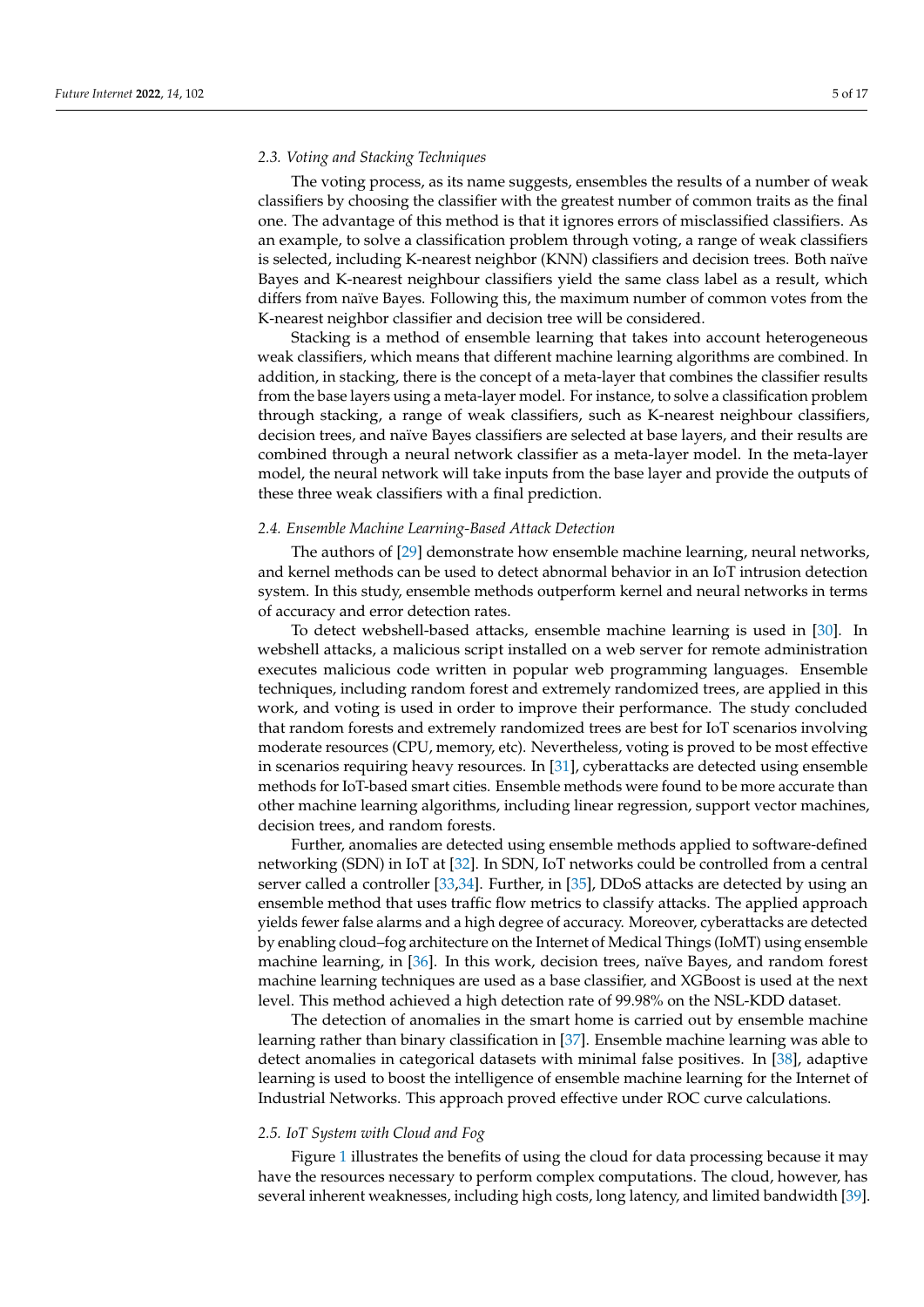#### *2.3. Voting and Stacking Techniques*

The voting process, as its name suggests, ensembles the results of a number of weak classifiers by choosing the classifier with the greatest number of common traits as the final one. The advantage of this method is that it ignores errors of misclassified classifiers. As an example, to solve a classification problem through voting, a range of weak classifiers is selected, including K-nearest neighbor (KNN) classifiers and decision trees. Both naïve Bayes and K-nearest neighbour classifiers yield the same class label as a result, which differs from naïve Bayes. Following this, the maximum number of common votes from the K-nearest neighbor classifier and decision tree will be considered.

Stacking is a method of ensemble learning that takes into account heterogeneous weak classifiers, which means that different machine learning algorithms are combined. In addition, in stacking, there is the concept of a meta-layer that combines the classifier results from the base layers using a meta-layer model. For instance, to solve a classification problem through stacking, a range of weak classifiers, such as K-nearest neighbour classifiers, decision trees, and naïve Bayes classifiers are selected at base layers, and their results are combined through a neural network classifier as a meta-layer model. In the meta-layer model, the neural network will take inputs from the base layer and provide the outputs of these three weak classifiers with a final prediction.

#### *2.4. Ensemble Machine Learning-Based Attack Detection*

The authors of [\[29\]](#page-16-20) demonstrate how ensemble machine learning, neural networks, and kernel methods can be used to detect abnormal behavior in an IoT intrusion detection system. In this study, ensemble methods outperform kernel and neural networks in terms of accuracy and error detection rates.

To detect webshell-based attacks, ensemble machine learning is used in [\[30\]](#page-16-21). In webshell attacks, a malicious script installed on a web server for remote administration executes malicious code written in popular web programming languages. Ensemble techniques, including random forest and extremely randomized trees, are applied in this work, and voting is used in order to improve their performance. The study concluded that random forests and extremely randomized trees are best for IoT scenarios involving moderate resources (CPU, memory, etc). Nevertheless, voting is proved to be most effective in scenarios requiring heavy resources. In [\[31\]](#page-16-22), cyberattacks are detected using ensemble methods for IoT-based smart cities. Ensemble methods were found to be more accurate than other machine learning algorithms, including linear regression, support vector machines, decision trees, and random forests.

Further, anomalies are detected using ensemble methods applied to software-defined networking (SDN) in IoT at [\[32\]](#page-16-23). In SDN, IoT networks could be controlled from a central server called a controller [\[33,](#page-17-0)[34\]](#page-17-1). Further, in [\[35\]](#page-17-2), DDoS attacks are detected by using an ensemble method that uses traffic flow metrics to classify attacks. The applied approach yields fewer false alarms and a high degree of accuracy. Moreover, cyberattacks are detected by enabling cloud–fog architecture on the Internet of Medical Things (IoMT) using ensemble machine learning, in [\[36\]](#page-17-3). In this work, decision trees, naïve Bayes, and random forest machine learning techniques are used as a base classifier, and XGBoost is used at the next level. This method achieved a high detection rate of 99.98% on the NSL-KDD dataset.

The detection of anomalies in the smart home is carried out by ensemble machine learning rather than binary classification in [\[37\]](#page-17-4). Ensemble machine learning was able to detect anomalies in categorical datasets with minimal false positives. In [\[38\]](#page-17-5), adaptive learning is used to boost the intelligence of ensemble machine learning for the Internet of Industrial Networks. This approach proved effective under ROC curve calculations.

#### *2.5. IoT System with Cloud and Fog*

Figure [1](#page-2-0) illustrates the benefits of using the cloud for data processing because it may have the resources necessary to perform complex computations. The cloud, however, has several inherent weaknesses, including high costs, long latency, and limited bandwidth [\[39\]](#page-17-6).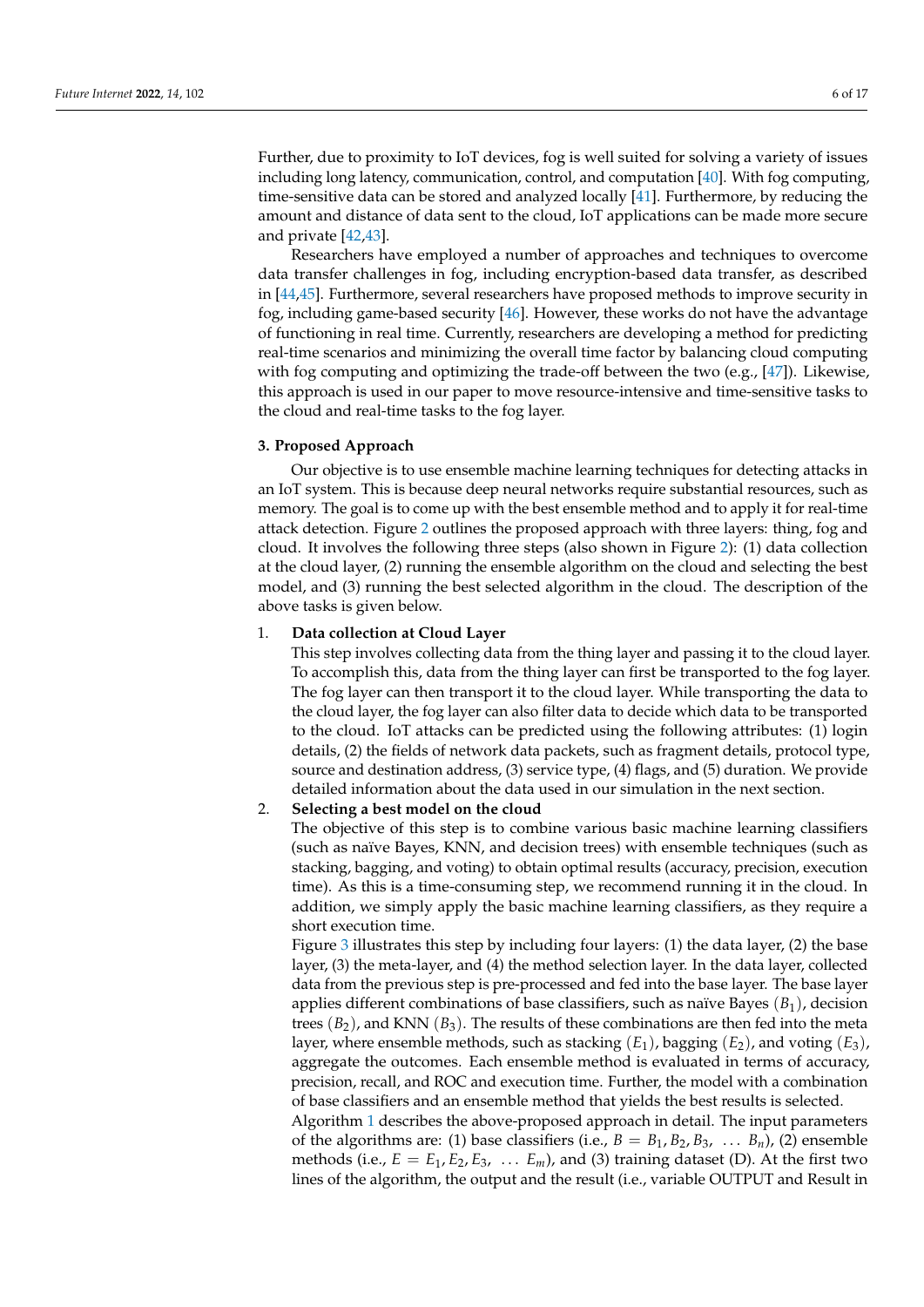Further, due to proximity to IoT devices, fog is well suited for solving a variety of issues including long latency, communication, control, and computation [\[40\]](#page-17-7). With fog computing, time-sensitive data can be stored and analyzed locally [\[41\]](#page-17-8). Furthermore, by reducing the amount and distance of data sent to the cloud, IoT applications can be made more secure and private [\[42](#page-17-9)[,43\]](#page-17-10).

Researchers have employed a number of approaches and techniques to overcome data transfer challenges in fog, including encryption-based data transfer, as described in [\[44,](#page-17-11)[45\]](#page-17-12). Furthermore, several researchers have proposed methods to improve security in fog, including game-based security [\[46\]](#page-17-13). However, these works do not have the advantage of functioning in real time. Currently, researchers are developing a method for predicting real-time scenarios and minimizing the overall time factor by balancing cloud computing with fog computing and optimizing the trade-off between the two (e.g., [\[47\]](#page-17-14)). Likewise, this approach is used in our paper to move resource-intensive and time-sensitive tasks to the cloud and real-time tasks to the fog layer.

#### <span id="page-6-0"></span>**3. Proposed Approach**

Our objective is to use ensemble machine learning techniques for detecting attacks in an IoT system. This is because deep neural networks require substantial resources, such as memory. The goal is to come up with the best ensemble method and to apply it for real-time attack detection. Figure [2](#page-7-0) outlines the proposed approach with three layers: thing, fog and cloud. It involves the following three steps (also shown in Figure [2\)](#page-7-0): (1) data collection at the cloud layer, (2) running the ensemble algorithm on the cloud and selecting the best model, and (3) running the best selected algorithm in the cloud. The description of the above tasks is given below.

#### 1. **Data collection at Cloud Layer**

This step involves collecting data from the thing layer and passing it to the cloud layer. To accomplish this, data from the thing layer can first be transported to the fog layer. The fog layer can then transport it to the cloud layer. While transporting the data to the cloud layer, the fog layer can also filter data to decide which data to be transported to the cloud. IoT attacks can be predicted using the following attributes: (1) login details, (2) the fields of network data packets, such as fragment details, protocol type, source and destination address, (3) service type, (4) flags, and (5) duration. We provide detailed information about the data used in our simulation in the next section.

#### 2. **Selecting a best model on the cloud**

The objective of this step is to combine various basic machine learning classifiers (such as naïve Bayes, KNN, and decision trees) with ensemble techniques (such as stacking, bagging, and voting) to obtain optimal results (accuracy, precision, execution time). As this is a time-consuming step, we recommend running it in the cloud. In addition, we simply apply the basic machine learning classifiers, as they require a short execution time.

Figure [3](#page-7-1) illustrates this step by including four layers: (1) the data layer, (2) the base layer, (3) the meta-layer, and (4) the method selection layer. In the data layer, collected data from the previous step is pre-processed and fed into the base layer. The base layer applies different combinations of base classifiers, such as naïve Bayes (*B*1), decision trees  $(B_2)$ , and KNN  $(B_3)$ . The results of these combinations are then fed into the meta layer, where ensemble methods, such as stacking (*E*1), bagging (*E*2), and voting (*E*3), aggregate the outcomes. Each ensemble method is evaluated in terms of accuracy, precision, recall, and ROC and execution time. Further, the model with a combination of base classifiers and an ensemble method that yields the best results is selected.

Algorithm [1](#page-8-0) describes the above-proposed approach in detail. The input parameters of the algorithms are: (1) base classifiers (i.e.,  $B = B_1, B_2, B_3, \ldots, B_n$ ), (2) ensemble methods (i.e.,  $E = E_1, E_2, E_3, \ldots E_m$ ), and (3) training dataset (D). At the first two lines of the algorithm, the output and the result (i.e., variable OUTPUT and Result in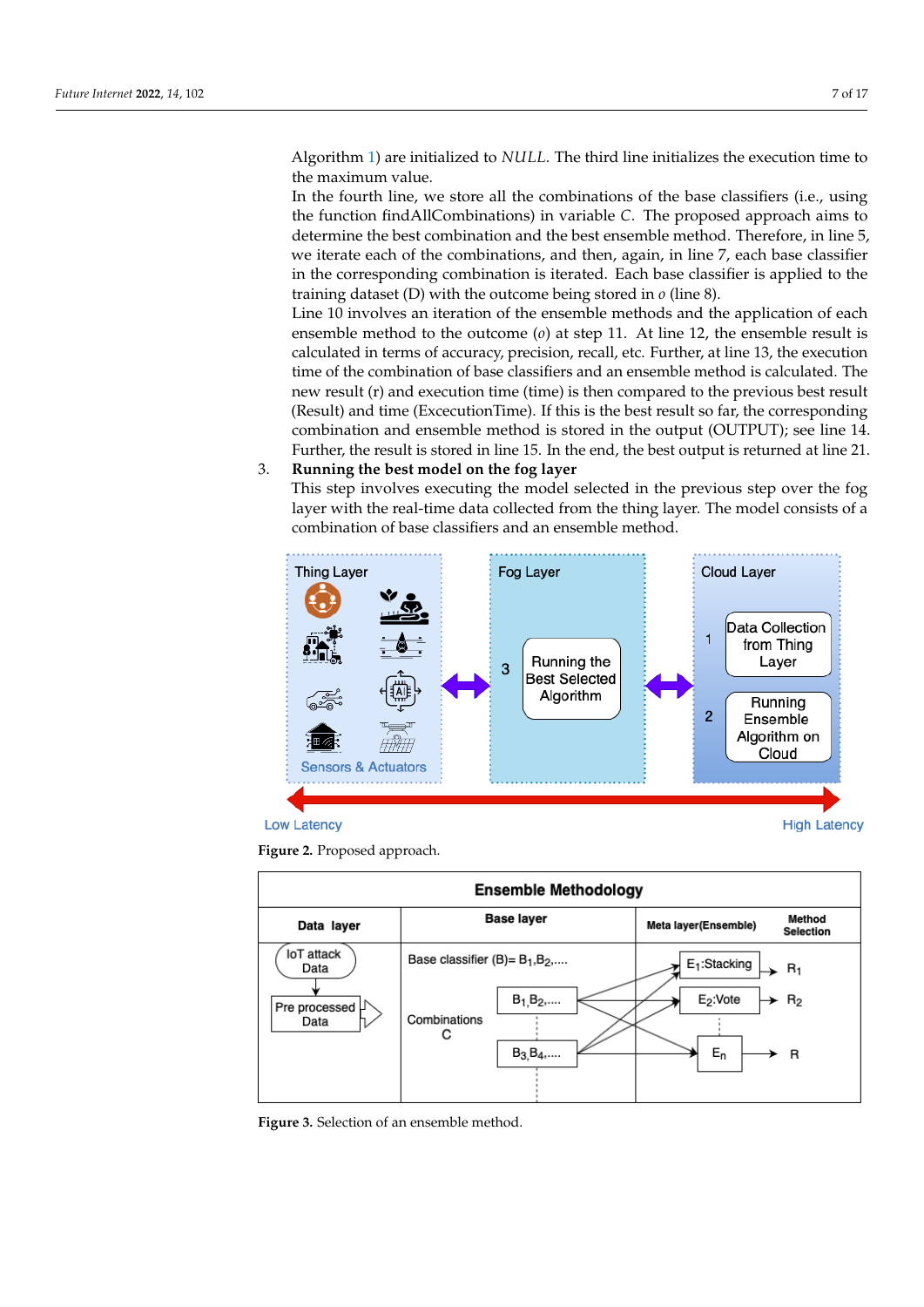Algorithm [1\)](#page-8-0) are initialized to *NULL*. The third line initializes the execution time to the maximum value.

In the fourth line, we store all the combinations of the base classifiers (i.e., using the function findAllCombinations) in variable *C*. The proposed approach aims to determine the best combination and the best ensemble method. Therefore, in line 5, we iterate each of the combinations, and then, again, in line 7, each base classifier in the corresponding combination is iterated. Each base classifier is applied to the training dataset (D) with the outcome being stored in *o* (line 8).

Line 10 involves an iteration of the ensemble methods and the application of each ensemble method to the outcome (*o*) at step 11. At line 12, the ensemble result is calculated in terms of accuracy, precision, recall, etc. Further, at line 13, the execution time of the combination of base classifiers and an ensemble method is calculated. The new result (r) and execution time (time) is then compared to the previous best result (Result) and time (ExcecutionTime). If this is the best result so far, the corresponding combination and ensemble method is stored in the output (OUTPUT); see line 14. Further, the result is stored in line 15. In the end, the best output is returned at line 21.

#### 3. **Running the best model on the fog layer**

This step involves executing the model selected in the previous step over the fog layer with the real-time data collected from the thing layer. The model consists of a combination of base classifiers and an ensemble method.

<span id="page-7-0"></span>







<span id="page-7-1"></span>

**Figure 3.** Selection of an ensemble method.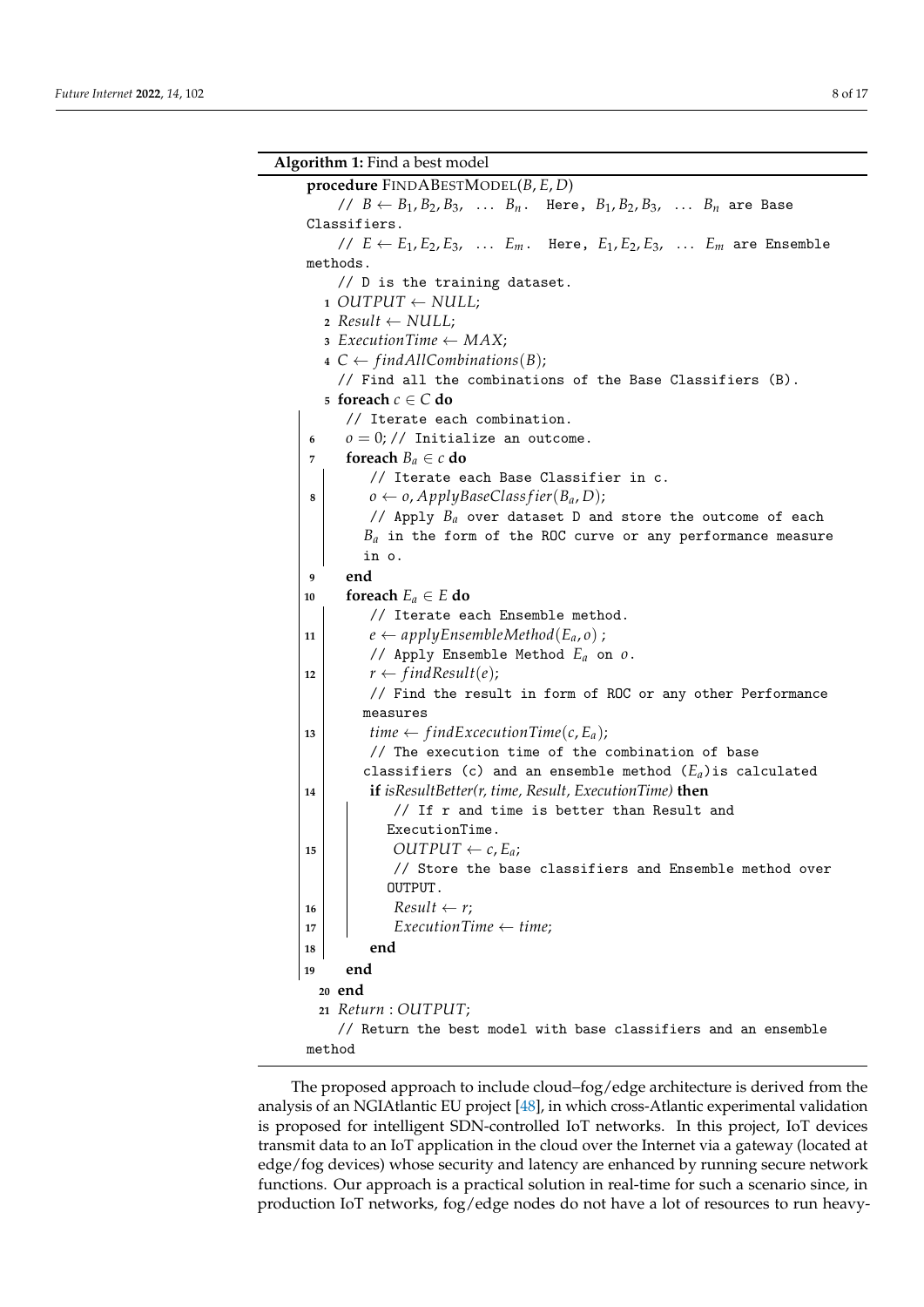<span id="page-8-0"></span>

|                                                           | <b>Algorithm 1:</b> Find a best model                                                        |  |  |  |  |  |
|-----------------------------------------------------------|----------------------------------------------------------------------------------------------|--|--|--|--|--|
|                                                           | procedure FINDABESTMODEL(B, E, D)                                                            |  |  |  |  |  |
|                                                           | // $B \leftarrow B_1, B_2, B_3, \ldots B_n$ . Here, $B_1, B_2, B_3, \ldots B_n$ are Base     |  |  |  |  |  |
|                                                           | Classifiers.                                                                                 |  |  |  |  |  |
|                                                           | // $E \leftarrow E_1, E_2, E_3, \ldots E_m$ . Here, $E_1, E_2, E_3, \ldots E_m$ are Ensemble |  |  |  |  |  |
|                                                           | methods.                                                                                     |  |  |  |  |  |
|                                                           | // D is the training dataset.                                                                |  |  |  |  |  |
| $1$ OUTPUT $\leftarrow$ NULL;                             |                                                                                              |  |  |  |  |  |
| 2 Result $\leftarrow$ NULL;                               |                                                                                              |  |  |  |  |  |
| $\sigma$ ExecutionTime $\leftarrow MAX;$                  |                                                                                              |  |  |  |  |  |
| $4 \text{ } C \leftarrow findAllCombinations(B);$         |                                                                                              |  |  |  |  |  |
| // Find all the combinations of the Base Classifiers (B). |                                                                                              |  |  |  |  |  |
|                                                           | 5 foreach $c \in C$ do                                                                       |  |  |  |  |  |
|                                                           | // Iterate each combination.                                                                 |  |  |  |  |  |
| 6                                                         | $o = 0$ ; // Initialize an outcome.                                                          |  |  |  |  |  |
| 7                                                         | foreach $B_a \in c$ do                                                                       |  |  |  |  |  |
|                                                           | // Iterate each Base Classifier in c.                                                        |  |  |  |  |  |
| 8                                                         | $o \leftarrow o$ , ApplyBaseClass fier(B <sub>a</sub> , D);                                  |  |  |  |  |  |
|                                                           | // Apply $B_a$ over dataset D and store the outcome of each                                  |  |  |  |  |  |
|                                                           | $B_a$ in the form of the ROC curve or any performance measure                                |  |  |  |  |  |
|                                                           | in o.                                                                                        |  |  |  |  |  |
| 9                                                         | end<br>foreach $E_a \in E$ do                                                                |  |  |  |  |  |
| 10                                                        | // Iterate each Ensemble method.                                                             |  |  |  |  |  |
| 11                                                        | $e \leftarrow applyEnsembleMethod(E_a, o)$ ;                                                 |  |  |  |  |  |
|                                                           | // Apply Ensemble Method $E_a$ on $o$ .                                                      |  |  |  |  |  |
| 12                                                        | $r \leftarrow findResult(e);$                                                                |  |  |  |  |  |
|                                                           | // Find the result in form of ROC or any other Performance                                   |  |  |  |  |  |
|                                                           | measures                                                                                     |  |  |  |  |  |
| 13                                                        | time $\leftarrow$ findExcecutionTime(c, E <sub>a</sub> );                                    |  |  |  |  |  |
|                                                           | // The execution time of the combination of base                                             |  |  |  |  |  |
|                                                           | classifiers (c) and an ensemble method $(E_a)$ is calculated                                 |  |  |  |  |  |
| 14                                                        | <b>if</b> is Result Better( $r$ , time, Result, Execution Time) <b>then</b>                  |  |  |  |  |  |
|                                                           | // If r and time is better than Result and                                                   |  |  |  |  |  |
|                                                           | ExecutionTime.                                                                               |  |  |  |  |  |
| 15                                                        | $OUTPUT \leftarrow c, E_a;$                                                                  |  |  |  |  |  |
|                                                           | // Store the base classifiers and Ensemble method over                                       |  |  |  |  |  |
|                                                           | OUTPUT.                                                                                      |  |  |  |  |  |
| 16                                                        | $Result \leftarrow r;$                                                                       |  |  |  |  |  |
| 17                                                        | $ExecutionTime \leftarrow time;$                                                             |  |  |  |  |  |
| 18                                                        | end                                                                                          |  |  |  |  |  |
| 19                                                        | end                                                                                          |  |  |  |  |  |
| 20 end                                                    |                                                                                              |  |  |  |  |  |
|                                                           | 21 Return : OUTPUT;                                                                          |  |  |  |  |  |
|                                                           | // Return the best model with base classifiers and an ensemble                               |  |  |  |  |  |
| method                                                    |                                                                                              |  |  |  |  |  |

The proposed approach to include cloud–fog/edge architecture is derived from the analysis of an NGIAtlantic EU project [\[48\]](#page-17-15), in which cross-Atlantic experimental validation is proposed for intelligent SDN-controlled IoT networks. In this project, IoT devices transmit data to an IoT application in the cloud over the Internet via a gateway (located at edge/fog devices) whose security and latency are enhanced by running secure network functions. Our approach is a practical solution in real-time for such a scenario since, in production IoT networks, fog/edge nodes do not have a lot of resources to run heavy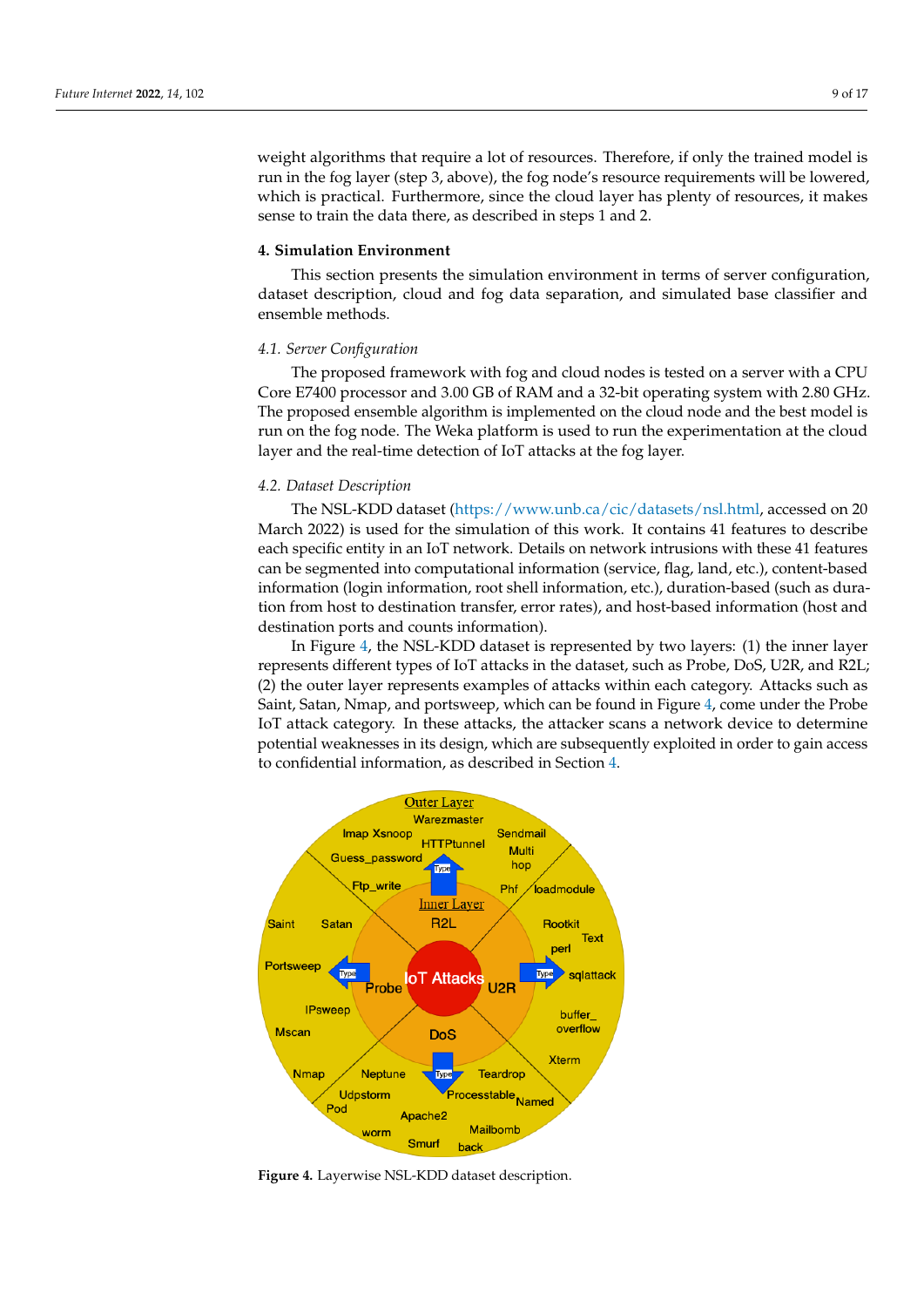weight algorithms that require a lot of resources. Therefore, if only the trained model is run in the fog layer (step 3, above), the fog node's resource requirements will be lowered, which is practical. Furthermore, since the cloud layer has plenty of resources, it makes sense to train the data there, as described in steps 1 and 2.

#### <span id="page-9-0"></span>**4. Simulation Environment**

This section presents the simulation environment in terms of server configuration, dataset description, cloud and fog data separation, and simulated base classifier and ensemble methods.

#### *4.1. Server Configuration*

The proposed framework with fog and cloud nodes is tested on a server with a CPU Core E7400 processor and 3.00 GB of RAM and a 32-bit operating system with 2.80 GHz. The proposed ensemble algorithm is implemented on the cloud node and the best model is run on the fog node. The Weka platform is used to run the experimentation at the cloud layer and the real-time detection of IoT attacks at the fog layer.

#### *4.2. Dataset Description*

The NSL-KDD dataset [\(https://www.unb.ca/cic/datasets/nsl.html,](https://www.unb.ca/cic/datasets/nsl.html) accessed on 20 March 2022) is used for the simulation of this work. It contains 41 features to describe each specific entity in an IoT network. Details on network intrusions with these 41 features can be segmented into computational information (service, flag, land, etc.), content-based information (login information, root shell information, etc.), duration-based (such as duration from host to destination transfer, error rates), and host-based information (host and destination ports and counts information).

In Figure [4,](#page-9-1) the NSL-KDD dataset is represented by two layers: (1) the inner layer represents different types of IoT attacks in the dataset, such as Probe, DoS, U2R, and R2L; (2) the outer layer represents examples of attacks within each category. Attacks such as Saint, Satan, Nmap, and portsweep, which can be found in Figure [4,](#page-9-1) come under the Probe IoT attack category. In these attacks, the attacker scans a network device to determine potential weaknesses in its design, which are subsequently exploited in order to gain access to confidential information, as described in Section [4.](#page-9-1)

<span id="page-9-1"></span>

**Figure 4.** Layerwise NSL-KDD dataset description.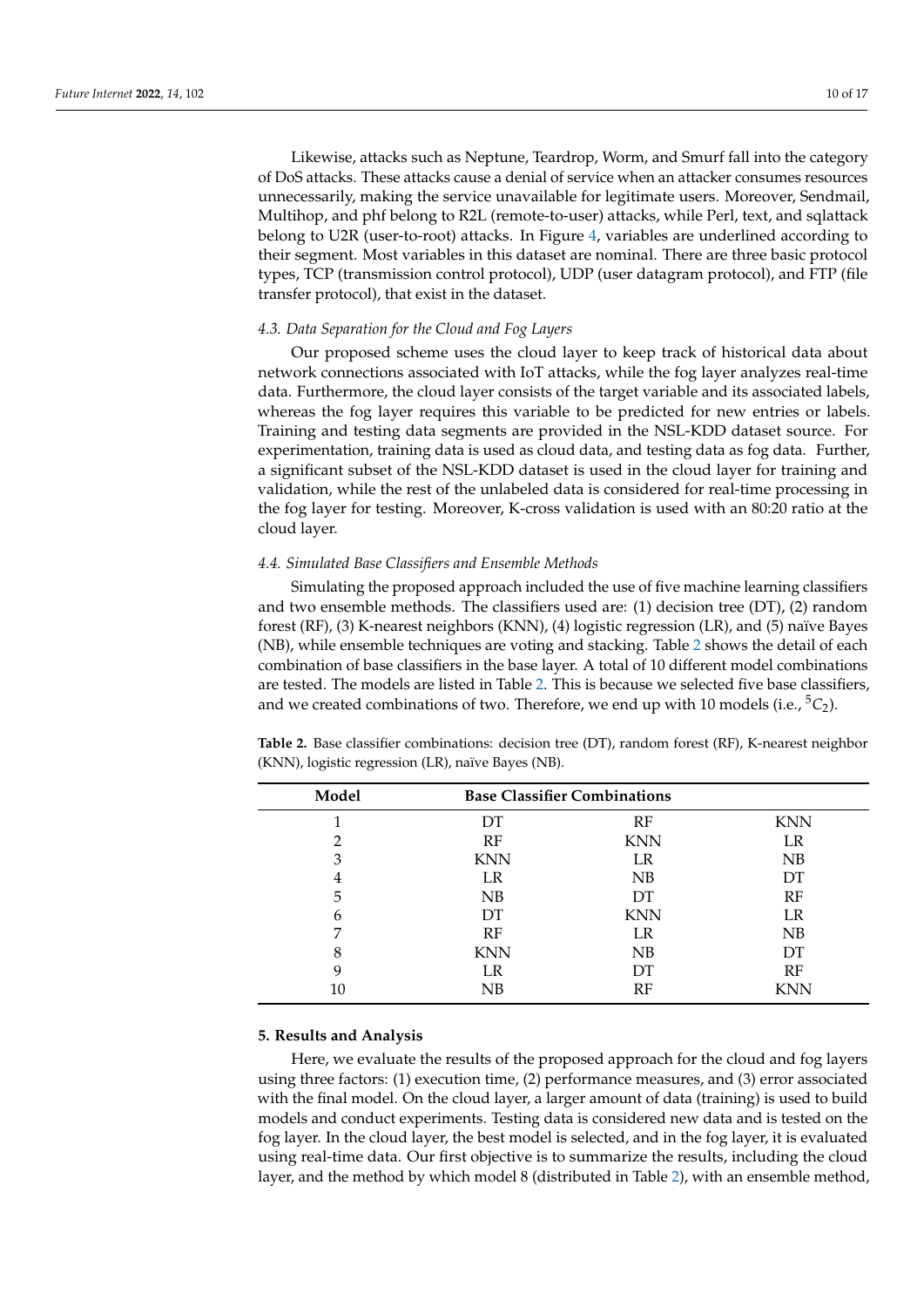Likewise, attacks such as Neptune, Teardrop, Worm, and Smurf fall into the category of DoS attacks. These attacks cause a denial of service when an attacker consumes resources unnecessarily, making the service unavailable for legitimate users. Moreover, Sendmail, Multihop, and phf belong to R2L (remote-to-user) attacks, while Perl, text, and sqlattack belong to U2R (user-to-root) attacks. In Figure [4,](#page-9-1) variables are underlined according to their segment. Most variables in this dataset are nominal. There are three basic protocol types, TCP (transmission control protocol), UDP (user datagram protocol), and FTP (file transfer protocol), that exist in the dataset.

#### *4.3. Data Separation for the Cloud and Fog Layers*

Our proposed scheme uses the cloud layer to keep track of historical data about network connections associated with IoT attacks, while the fog layer analyzes real-time data. Furthermore, the cloud layer consists of the target variable and its associated labels, whereas the fog layer requires this variable to be predicted for new entries or labels. Training and testing data segments are provided in the NSL-KDD dataset source. For experimentation, training data is used as cloud data, and testing data as fog data. Further, a significant subset of the NSL-KDD dataset is used in the cloud layer for training and validation, while the rest of the unlabeled data is considered for real-time processing in the fog layer for testing. Moreover, K-cross validation is used with an 80:20 ratio at the cloud layer.

#### *4.4. Simulated Base Classifiers and Ensemble Methods*

Simulating the proposed approach included the use of five machine learning classifiers and two ensemble methods. The classifiers used are: (1) decision tree (DT), (2) random forest (RF), (3) K-nearest neighbors (KNN), (4) logistic regression (LR), and (5) naïve Bayes (NB), while ensemble techniques are voting and stacking. Table [2](#page-10-1) shows the detail of each combination of base classifiers in the base layer. A total of 10 different model combinations are tested. The models are listed in Table [2.](#page-10-1) This is because we selected five base classifiers, and we created combinations of two. Therefore, we end up with 10 models (i.e.,  ${}^5C_2$ ).

| Model |            | <b>Base Classifier Combinations</b> |            |
|-------|------------|-------------------------------------|------------|
|       | DT         | RF                                  | <b>KNN</b> |
|       | RF         | <b>KNN</b>                          | LR         |
| 3     | <b>KNN</b> | LR                                  | NB         |
| 4     | LR         | NB                                  | DT         |
| 5     | NB         | <b>DT</b>                           | RF         |
| 6     | DT         | <b>KNN</b>                          | LR         |
|       | RF         | LR                                  | NB         |
| 8     | <b>KNN</b> | NB                                  | DT         |
| 9     | LR         | DT                                  | RF         |
| 10    | NB         | RF                                  | <b>KNN</b> |

<span id="page-10-1"></span>**Table 2.** Base classifier combinations: decision tree (DT), random forest (RF), K-nearest neighbor (KNN), logistic regression (LR), naïve Bayes (NB).

#### <span id="page-10-0"></span>**5. Results and Analysis**

Here, we evaluate the results of the proposed approach for the cloud and fog layers using three factors: (1) execution time, (2) performance measures, and (3) error associated with the final model. On the cloud layer, a larger amount of data (training) is used to build models and conduct experiments. Testing data is considered new data and is tested on the fog layer. In the cloud layer, the best model is selected, and in the fog layer, it is evaluated using real-time data. Our first objective is to summarize the results, including the cloud layer, and the method by which model 8 (distributed in Table [2\)](#page-10-1), with an ensemble method,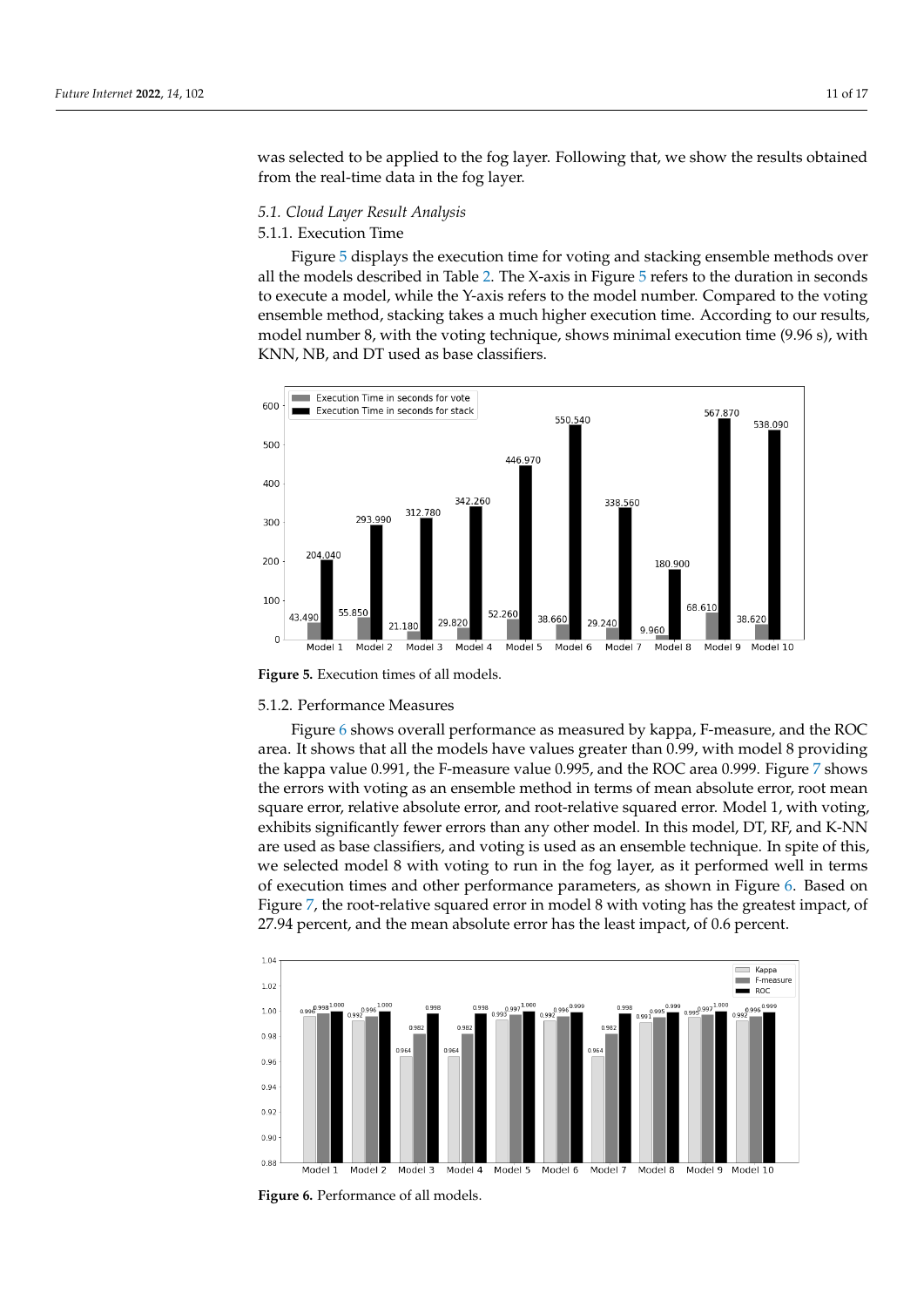was selected to be applied to the fog layer. Following that, we show the results obtained from the real-time data in the fog layer.

#### *5.1. Cloud Layer Result Analysis*

#### 5.1.1. Execution Time

Figure [5](#page-11-0) displays the execution time for voting and stacking ensemble methods over all the models described in Table [2.](#page-10-1) The X-axis in Figure [5](#page-11-0) refers to the duration in seconds to execute a model, while the Y-axis refers to the model number. Compared to the voting ensemble method, stacking takes a much higher execution time. According to our results, model number 8, with the voting technique, shows minimal execution time (9.96 s), with KNN, NB, and DT used as base classifiers.

<span id="page-11-0"></span>

**Figure 5.** Execution times of all models.

#### 5.1.2. Performance Measures

Figure [6](#page-11-1) shows overall performance as measured by kappa, F-measure, and the ROC area. It shows that all the models have values greater than 0.99, with model 8 providing the kappa value 0.991, the F-measure value 0.995, and the ROC area 0.999. Figure [7](#page-12-0) shows the errors with voting as an ensemble method in terms of mean absolute error, root mean square error, relative absolute error, and root-relative squared error. Model 1, with voting, exhibits significantly fewer errors than any other model. In this model, DT, RF, and K-NN are used as base classifiers, and voting is used as an ensemble technique. In spite of this, we selected model 8 with voting to run in the fog layer, as it performed well in terms of execution times and other performance parameters, as shown in Figure [6.](#page-11-1) Based on Figure [7,](#page-12-0) the root-relative squared error in model 8 with voting has the greatest impact, of 27.94 percent, and the mean absolute error has the least impact, of 0.6 percent.

<span id="page-11-1"></span>

**Figure 6.** Performance of all models.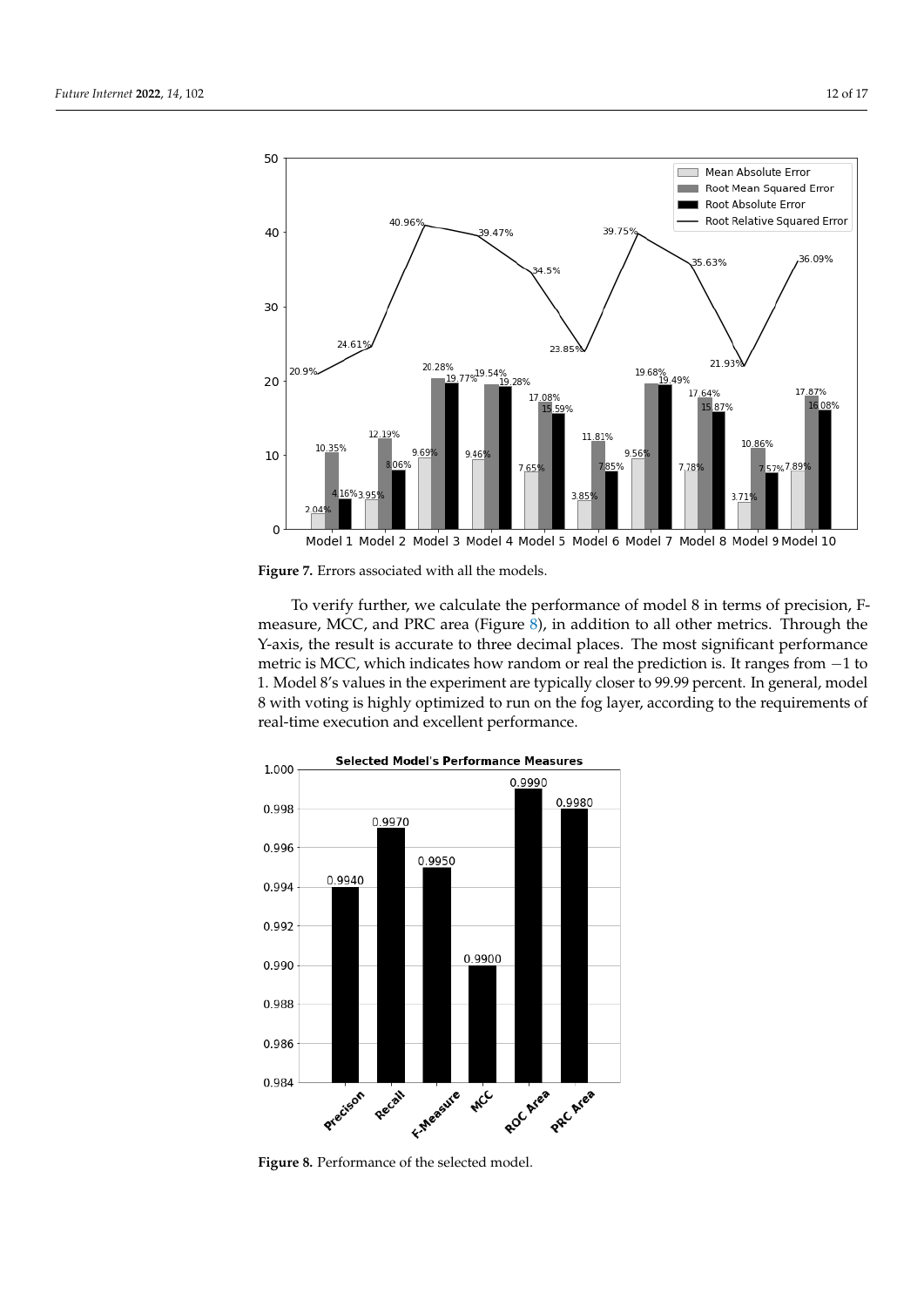<span id="page-12-0"></span>

**Figure 7.** Errors associated with all the models.

To verify further, we calculate the performance of model 8 in terms of precision, Fmeasure, MCC, and PRC area (Figure [8\)](#page-12-1), in addition to all other metrics. Through the Y-axis, the result is accurate to three decimal places. The most significant performance metric is MCC, which indicates how random or real the prediction is. It ranges from −1 to 1. Model 8's values in the experiment are typically closer to 99.99 percent. In general, model 8 with voting is highly optimized to run on the fog layer, according to the requirements of real-time execution and excellent performance.

<span id="page-12-1"></span>

**Figure 8.** Performance of the selected model.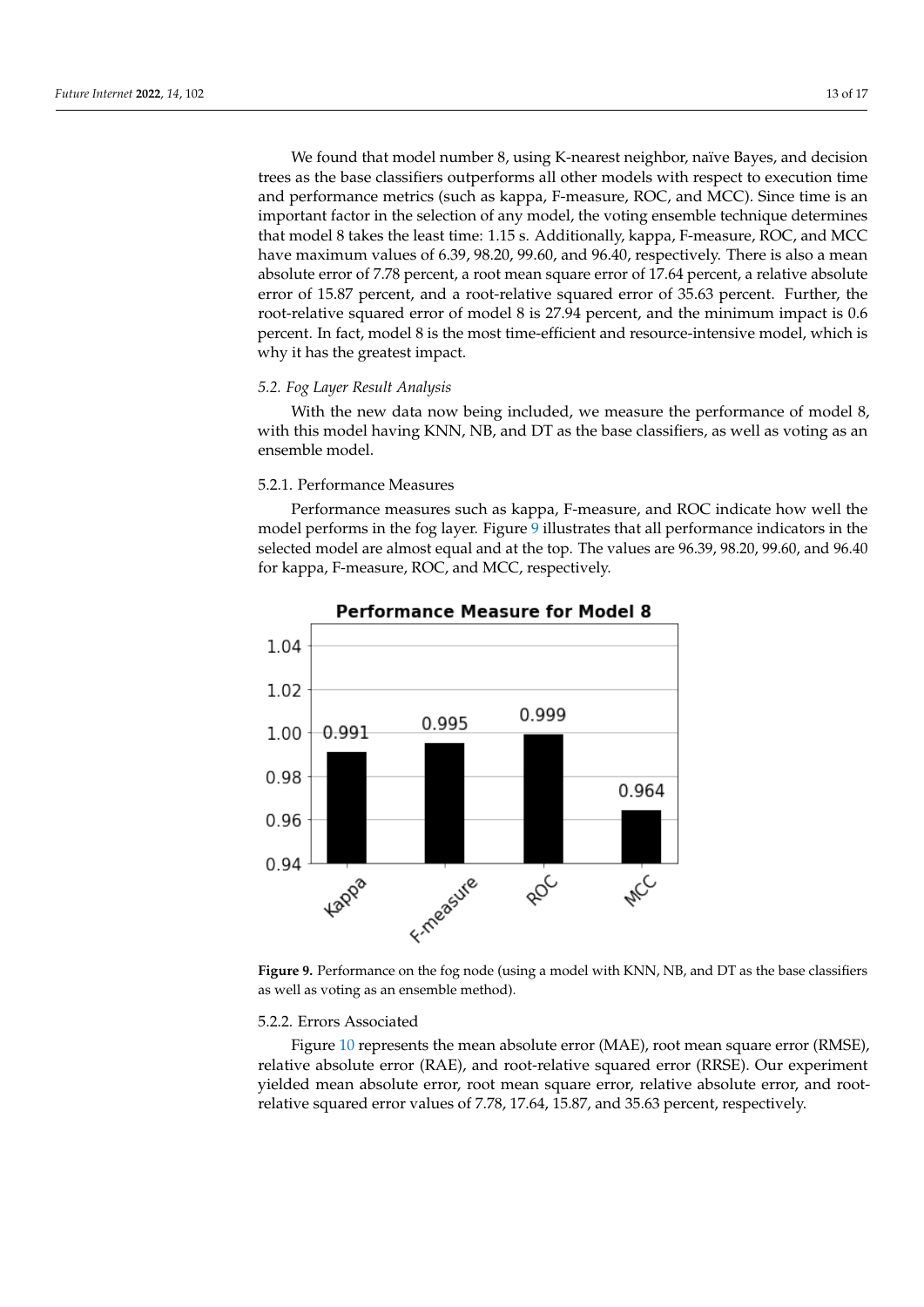We found that model number 8, using K-nearest neighbor, naïve Bayes, and decision trees as the base classifiers outperforms all other models with respect to execution time and performance metrics (such as kappa, F-measure, ROC, and MCC). Since time is an important factor in the selection of any model, the voting ensemble technique determines that model 8 takes the least time: 1.15 s. Additionally, kappa, F-measure, ROC, and MCC have maximum values of 6.39, 98.20, 99.60, and 96.40, respectively. There is also a mean absolute error of 7.78 percent, a root mean square error of 17.64 percent, a relative absolute error of 15.87 percent, and a root-relative squared error of 35.63 percent. Further, the root-relative squared error of model 8 is 27.94 percent, and the minimum impact is 0.6 percent. In fact, model 8 is the most time-efficient and resource-intensive model, which is why it has the greatest impact.

#### *5.2. Fog Layer Result Analysis*

With the new data now being included, we measure the performance of model 8, with this model having KNN, NB, and DT as the base classifiers, as well as voting as an ensemble model.

#### 5.2.1. Performance Measures

Performance measures such as kappa, F-measure, and ROC indicate how well the model performs in the fog layer. Figure [9](#page-13-0) illustrates that all performance indicators in the selected model are almost equal and at the top. The values are 96.39, 98.20, 99.60, and 96.40 for kappa, F-measure, ROC, and MCC, respectively.

<span id="page-13-0"></span>

**Performance Measure for Model 8** 

**Figure 9.** Performance on the fog node (using a model with KNN, NB, and DT as the base classifiers as well as voting as an ensemble method).

#### 5.2.2. Errors Associated

Figure [10](#page-14-0) represents the mean absolute error (MAE), root mean square error (RMSE), relative absolute error (RAE), and root-relative squared error (RRSE). Our experiment yielded mean absolute error, root mean square error, relative absolute error, and rootrelative squared error values of 7.78, 17.64, 15.87, and 35.63 percent, respectively.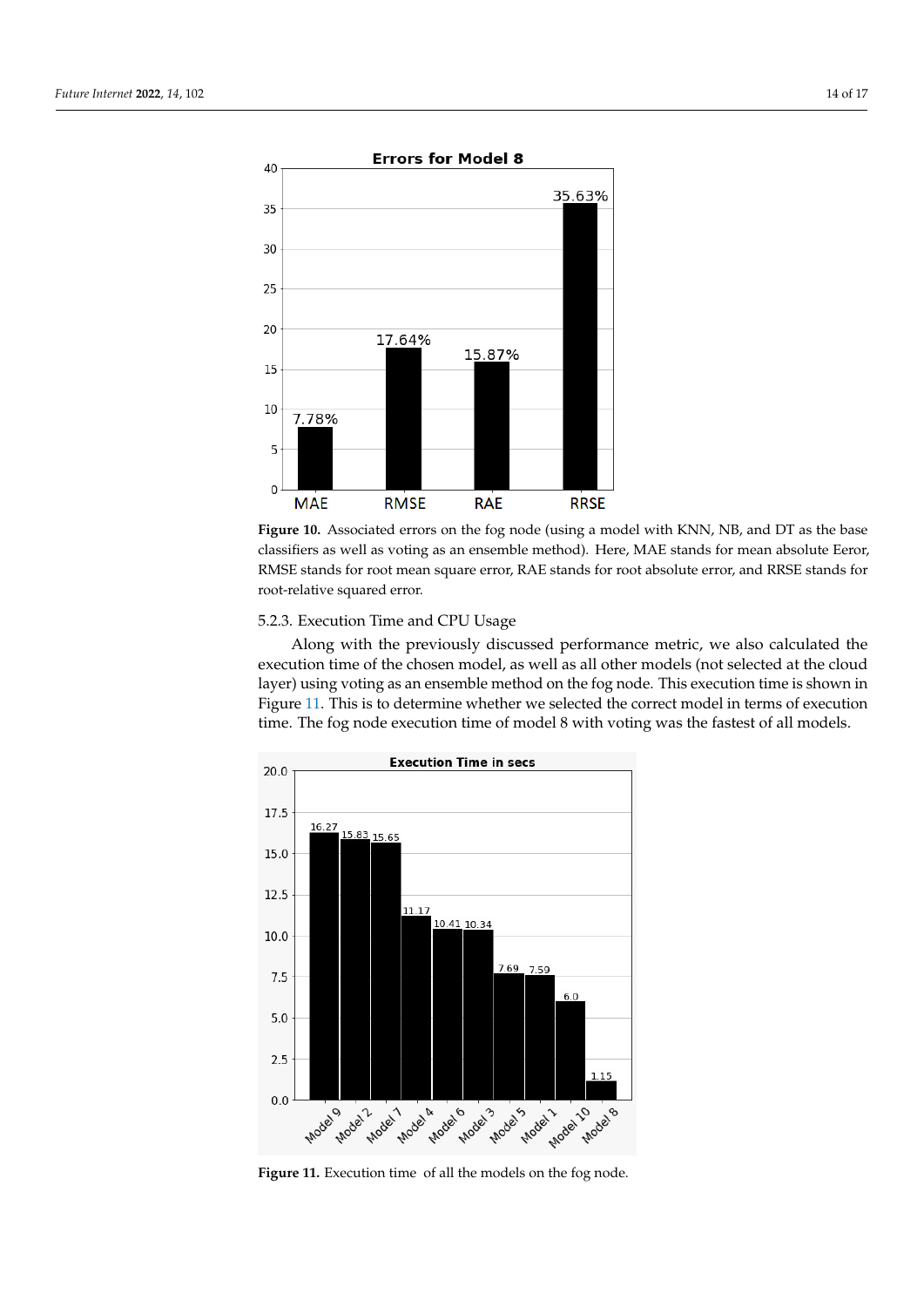<span id="page-14-0"></span>

**Figure 10.** Associated errors on the fog node (using a model with KNN, NB, and DT as the base classifiers as well as voting as an ensemble method). Here, MAE stands for mean absolute Eeror, RMSE stands for root mean square error, RAE stands for root absolute error, and RRSE stands for root-relative squared error.

#### 5.2.3. Execution Time and CPU Usage

Along with the previously discussed performance metric, we also calculated the execution time of the chosen model, as well as all other models (not selected at the cloud layer) using voting as an ensemble method on the fog node. This execution time is shown in Figure [11.](#page-14-1) This is to determine whether we selected the correct model in terms of execution time. The fog node execution time of model 8 with voting was the fastest of all models.

<span id="page-14-1"></span>

**Figure 11.** Execution time of all the models on the fog node.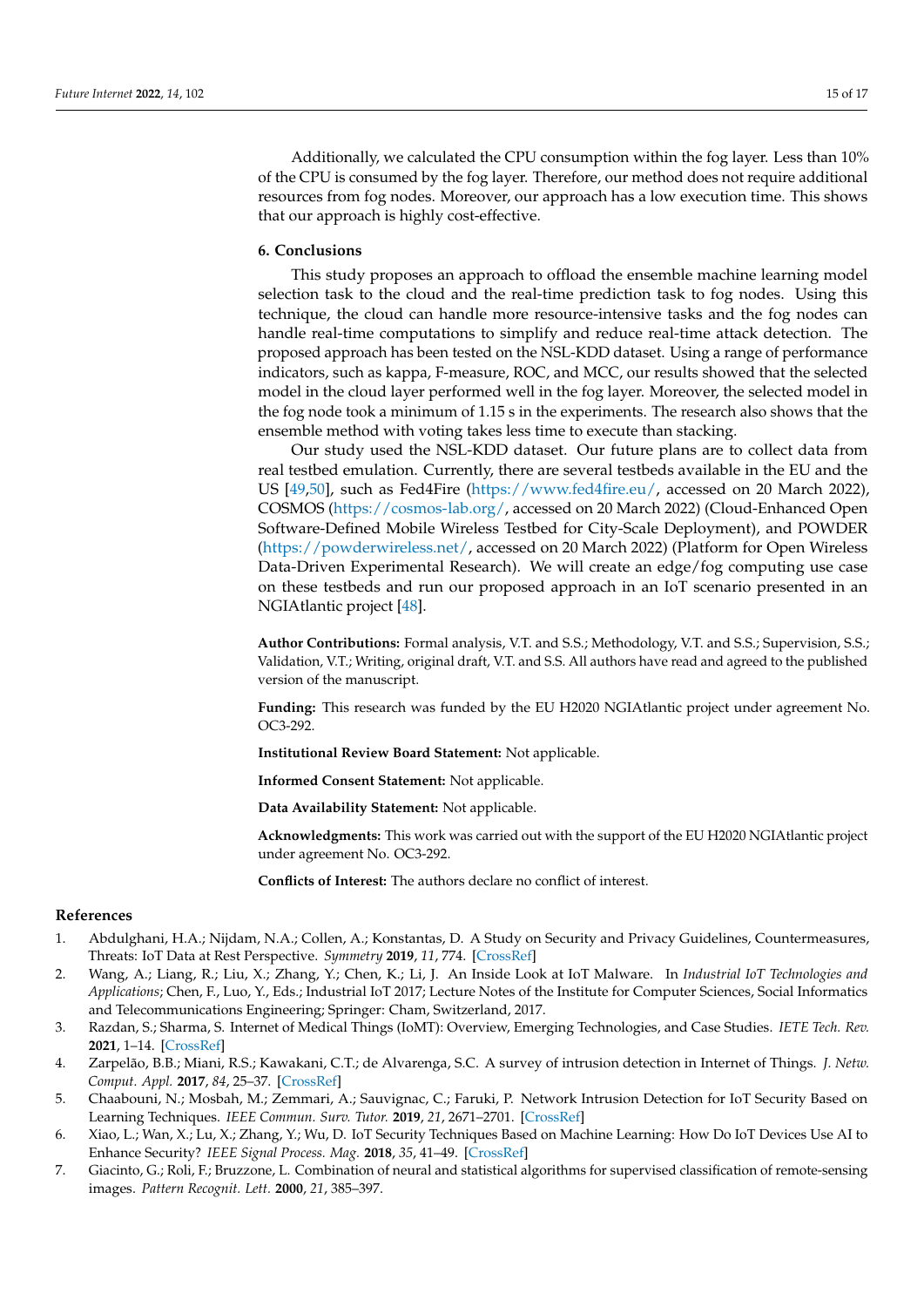Additionally, we calculated the CPU consumption within the fog layer. Less than 10% of the CPU is consumed by the fog layer. Therefore, our method does not require additional resources from fog nodes. Moreover, our approach has a low execution time. This shows that our approach is highly cost-effective.

#### <span id="page-15-7"></span>**6. Conclusions**

This study proposes an approach to offload the ensemble machine learning model selection task to the cloud and the real-time prediction task to fog nodes. Using this technique, the cloud can handle more resource-intensive tasks and the fog nodes can handle real-time computations to simplify and reduce real-time attack detection. The proposed approach has been tested on the NSL-KDD dataset. Using a range of performance indicators, such as kappa, F-measure, ROC, and MCC, our results showed that the selected model in the cloud layer performed well in the fog layer. Moreover, the selected model in the fog node took a minimum of 1.15 s in the experiments. The research also shows that the ensemble method with voting takes less time to execute than stacking.

Our study used the NSL-KDD dataset. Our future plans are to collect data from real testbed emulation. Currently, there are several testbeds available in the EU and the US [\[49](#page-17-16)[,50\]](#page-17-17), such as Fed4Fire [\(https://www.fed4fire.eu/,](https://www.fed4fire.eu/) accessed on 20 March 2022), COSMOS [\(https://cosmos-lab.org/,](https://cosmos-lab.org/) accessed on 20 March 2022) (Cloud-Enhanced Open Software-Defined Mobile Wireless Testbed for City-Scale Deployment), and POWDER [\(https://powderwireless.net/,](https://powderwireless.net/) accessed on 20 March 2022) (Platform for Open Wireless Data-Driven Experimental Research). We will create an edge/fog computing use case on these testbeds and run our proposed approach in an IoT scenario presented in an NGIAtlantic project [\[48\]](#page-17-15).

**Author Contributions:** Formal analysis, V.T. and S.S.; Methodology, V.T. and S.S.; Supervision, S.S.; Validation, V.T.; Writing, original draft, V.T. and S.S. All authors have read and agreed to the published version of the manuscript.

**Funding:** This research was funded by the EU H2020 NGIAtlantic project under agreement No. OC3-292.

**Institutional Review Board Statement:** Not applicable.

**Informed Consent Statement:** Not applicable.

**Data Availability Statement:** Not applicable.

**Acknowledgments:** This work was carried out with the support of the EU H2020 NGIAtlantic project under agreement No. OC3-292.

**Conflicts of Interest:** The authors declare no conflict of interest.

#### **References**

- <span id="page-15-0"></span>1. Abdulghani, H.A.; Nijdam, N.A.; Collen, A.; Konstantas, D. A Study on Security and Privacy Guidelines, Countermeasures, Threats: IoT Data at Rest Perspective. *Symmetry* **2019**, *11*, 774. [\[CrossRef\]](http://doi.org/10.3390/sym11060774)
- <span id="page-15-1"></span>2. Wang, A.; Liang, R.; Liu, X.; Zhang, Y.; Chen, K.; Li, J. An Inside Look at IoT Malware. In *Industrial IoT Technologies and Applications*; Chen, F., Luo, Y., Eds.; Industrial IoT 2017; Lecture Notes of the Institute for Computer Sciences, Social Informatics and Telecommunications Engineering; Springer: Cham, Switzerland, 2017.
- <span id="page-15-2"></span>3. Razdan, S.; Sharma, S. Internet of Medical Things (IoMT): Overview, Emerging Technologies, and Case Studies. *IETE Tech. Rev.* **2021**, 1–14. [\[CrossRef\]](http://dx.doi.org/10.1080/02564602.2021.1927863)
- <span id="page-15-3"></span>4. Zarpelão, B.B.; Miani, R.S.; Kawakani, C.T.; de Alvarenga, S.C. A survey of intrusion detection in Internet of Things. *J. Netw. Comput. Appl.* **2017**, *84*, 25–37. [\[CrossRef\]](http://dx.doi.org/10.1016/j.jnca.2017.02.009)
- <span id="page-15-4"></span>5. Chaabouni, N.; Mosbah, M.; Zemmari, A.; Sauvignac, C.; Faruki, P. Network Intrusion Detection for IoT Security Based on Learning Techniques. *IEEE Commun. Surv. Tutor.* **2019**, *21*, 2671–2701. [\[CrossRef\]](http://dx.doi.org/10.1109/COMST.2019.2896380)
- <span id="page-15-5"></span>6. Xiao, L.; Wan, X.; Lu, X.; Zhang, Y.; Wu, D. IoT Security Techniques Based on Machine Learning: How Do IoT Devices Use AI to Enhance Security? *IEEE Signal Process. Mag.* **2018**, *35*, 41–49. [\[CrossRef\]](http://dx.doi.org/10.1109/MSP.2018.2825478)
- <span id="page-15-6"></span>7. Giacinto, G.; Roli, F.; Bruzzone, L. Combination of neural and statistical algorithms for supervised classification of remote-sensing images. *Pattern Recognit. Lett.* **2000**, *21*, 385–397.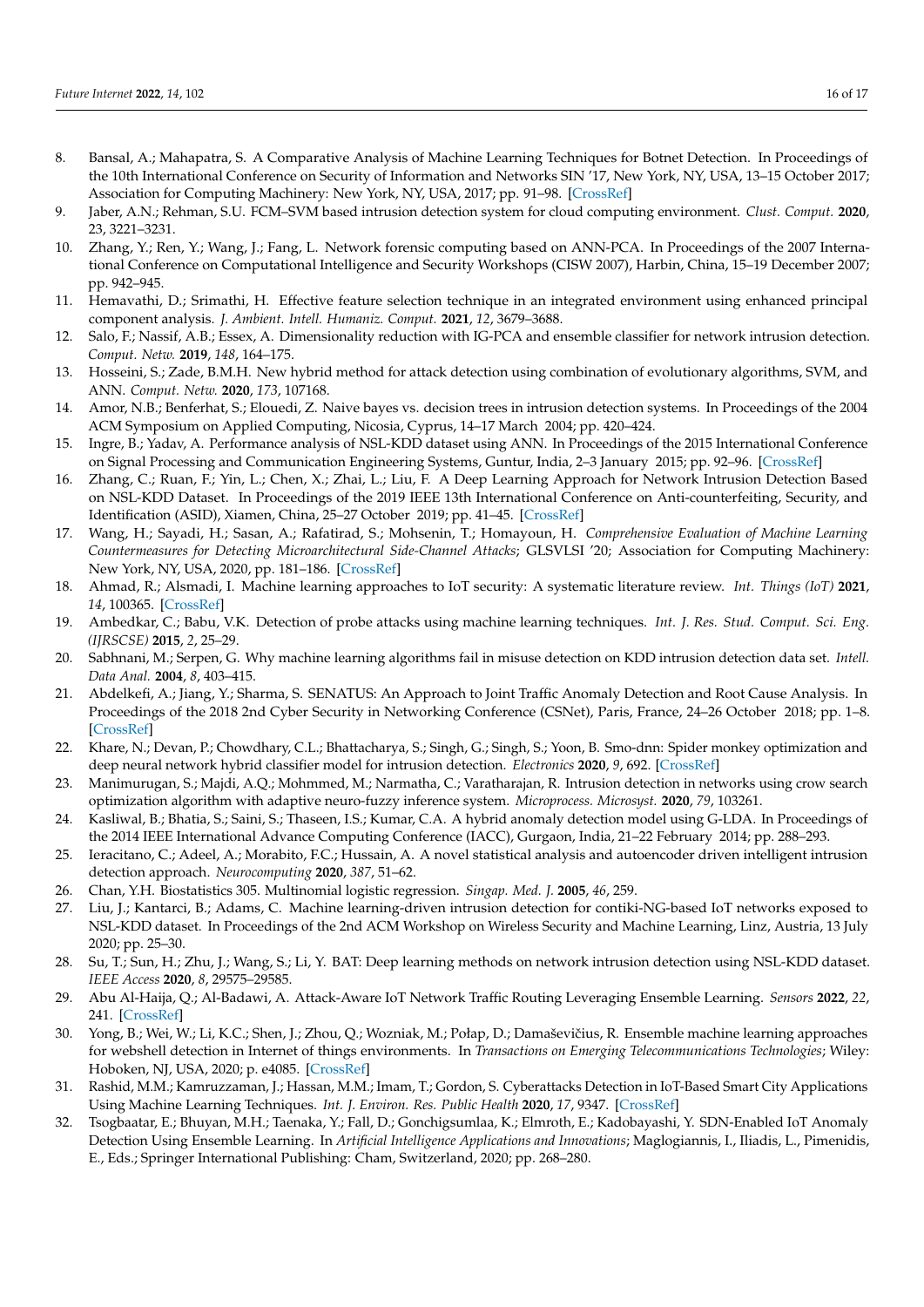- <span id="page-16-10"></span>8. Bansal, A.; Mahapatra, S. A Comparative Analysis of Machine Learning Techniques for Botnet Detection. In Proceedings of the 10th International Conference on Security of Information and Networks SIN '17, New York, NY, USA, 13–15 October 2017; Association for Computing Machinery: New York, NY, USA, 2017; pp. 91–98. [\[CrossRef\]](http://dx.doi.org/10.1145/3136825.3136874)
- <span id="page-16-1"></span>9. Jaber, A.N.; Rehman, S.U. FCM–SVM based intrusion detection system for cloud computing environment. *Clust. Comput.* **2020**, 23, 3221–3231.
- <span id="page-16-13"></span>10. Zhang, Y.; Ren, Y.; Wang, J.; Fang, L. Network forensic computing based on ANN-PCA. In Proceedings of the 2007 International Conference on Computational Intelligence and Security Workshops (CISW 2007), Harbin, China, 15–19 December 2007; pp. 942–945.
- <span id="page-16-14"></span>11. Hemavathi, D.; Srimathi, H. Effective feature selection technique in an integrated environment using enhanced principal component analysis. *J. Ambient. Intell. Humaniz. Comput.* **2021**, *12*, 3679–3688.
- <span id="page-16-0"></span>12. Salo, F.; Nassif, A.B.; Essex, A. Dimensionality reduction with IG-PCA and ensemble classifier for network intrusion detection. *Comput. Netw.* **2019**, *148*, 164–175.
- <span id="page-16-2"></span>13. Hosseini, S.; Zade, B.M.H. New hybrid method for attack detection using combination of evolutionary algorithms, SVM, and ANN. *Comput. Netw.* **2020**, *173*, 107168.
- <span id="page-16-3"></span>14. Amor, N.B.; Benferhat, S.; Elouedi, Z. Naive bayes vs. decision trees in intrusion detection systems. In Proceedings of the 2004 ACM Symposium on Applied Computing, Nicosia, Cyprus, 14–17 March 2004; pp. 420–424.
- 15. Ingre, B.; Yadav, A. Performance analysis of NSL-KDD dataset using ANN. In Proceedings of the 2015 International Conference on Signal Processing and Communication Engineering Systems, Guntur, India, 2–3 January 2015; pp. 92–96. [\[CrossRef\]](http://dx.doi.org/10.1109/SPACES.2015.7058223)
- <span id="page-16-4"></span>16. Zhang, C.; Ruan, F.; Yin, L.; Chen, X.; Zhai, L.; Liu, F. A Deep Learning Approach for Network Intrusion Detection Based on NSL-KDD Dataset. In Proceedings of the 2019 IEEE 13th International Conference on Anti-counterfeiting, Security, and Identification (ASID), Xiamen, China, 25–27 October 2019; pp. 41–45. [\[CrossRef\]](http://dx.doi.org/10.1109/ICASID.2019.8925239)
- <span id="page-16-5"></span>17. Wang, H.; Sayadi, H.; Sasan, A.; Rafatirad, S.; Mohsenin, T.; Homayoun, H. *Comprehensive Evaluation of Machine Learning Countermeasures for Detecting Microarchitectural Side-Channel Attacks*; GLSVLSI '20; Association for Computing Machinery: New York, NY, USA, 2020, pp. 181–186. [\[CrossRef\]](http://dx.doi.org/10.1145/3386263.3407586)
- <span id="page-16-6"></span>18. Ahmad, R.; Alsmadi, I. Machine learning approaches to IoT security: A systematic literature review. *Int. Things (IoT)* **2021**, *14*, 100365. [\[CrossRef\]](http://dx.doi.org/10.1016/j.iot.2021.100365)
- <span id="page-16-7"></span>19. Ambedkar, C.; Babu, V.K. Detection of probe attacks using machine learning techniques. *Int. J. Res. Stud. Comput. Sci. Eng. (IJRSCSE)* **2015**, *2*, 25–29.
- <span id="page-16-8"></span>20. Sabhnani, M.; Serpen, G. Why machine learning algorithms fail in misuse detection on KDD intrusion detection data set. *Intell. Data Anal.* **2004**, *8*, 403–415.
- <span id="page-16-9"></span>21. Abdelkefi, A.; Jiang, Y.; Sharma, S. SENATUS: An Approach to Joint Traffic Anomaly Detection and Root Cause Analysis. In Proceedings of the 2018 2nd Cyber Security in Networking Conference (CSNet), Paris, France, 24–26 October 2018; pp. 1–8. [\[CrossRef\]](http://dx.doi.org/10.1109/CSNET.2018.8602689)
- <span id="page-16-11"></span>22. Khare, N.; Devan, P.; Chowdhary, C.L.; Bhattacharya, S.; Singh, G.; Singh, S.; Yoon, B. Smo-dnn: Spider monkey optimization and deep neural network hybrid classifier model for intrusion detection. *Electronics* **2020**, *9*, 692. [\[CrossRef\]](http://doi.org/10.3390/electronics9040692)
- <span id="page-16-12"></span>23. Manimurugan, S.; Majdi, A.Q.; Mohmmed, M.; Narmatha, C.; Varatharajan, R. Intrusion detection in networks using crow search optimization algorithm with adaptive neuro-fuzzy inference system. *Microprocess. Microsyst.* **2020**, *79*, 103261.
- <span id="page-16-15"></span>24. Kasliwal, B.; Bhatia, S.; Saini, S.; Thaseen, I.S.; Kumar, C.A. A hybrid anomaly detection model using G-LDA. In Proceedings of the 2014 IEEE International Advance Computing Conference (IACC), Gurgaon, India, 21–22 February 2014; pp. 288–293.
- <span id="page-16-16"></span>25. Ieracitano, C.; Adeel, A.; Morabito, F.C.; Hussain, A. A novel statistical analysis and autoencoder driven intelligent intrusion detection approach. *Neurocomputing* **2020**, *387*, 51–62.
- <span id="page-16-17"></span>26. Chan, Y.H. Biostatistics 305. Multinomial logistic regression. *Singap. Med. J.* **2005**, *46*, 259.
- <span id="page-16-18"></span>27. Liu, J.; Kantarci, B.; Adams, C. Machine learning-driven intrusion detection for contiki-NG-based IoT networks exposed to NSL-KDD dataset. In Proceedings of the 2nd ACM Workshop on Wireless Security and Machine Learning, Linz, Austria, 13 July 2020; pp. 25–30.
- <span id="page-16-19"></span>28. Su, T.; Sun, H.; Zhu, J.; Wang, S.; Li, Y. BAT: Deep learning methods on network intrusion detection using NSL-KDD dataset. *IEEE Access* **2020**, *8*, 29575–29585.
- <span id="page-16-20"></span>29. Abu Al-Haija, Q.; Al-Badawi, A. Attack-Aware IoT Network Traffic Routing Leveraging Ensemble Learning. *Sensors* **2022**, *22*, 241. [\[CrossRef\]](http://dx.doi.org/10.3390/s22010241)
- <span id="page-16-21"></span>30. Yong, B.; Wei, W.; Li, K.C.; Shen, J.; Zhou, Q.; Wozniak, M.; Połap, D.; Damaševičius, R. Ensemble machine learning approaches for webshell detection in Internet of things environments. In *Transactions on Emerging Telecommunications Technologies*; Wiley: Hoboken, NJ, USA, 2020; p. e4085. [\[CrossRef\]](http://dx.doi.org/10.1002/ett.4085)
- <span id="page-16-22"></span>31. Rashid, M.M.; Kamruzzaman, J.; Hassan, M.M.; Imam, T.; Gordon, S. Cyberattacks Detection in IoT-Based Smart City Applications Using Machine Learning Techniques. *Int. J. Environ. Res. Public Health* **2020**, *17*, 9347. [\[CrossRef\]](http://dx.doi.org/10.3390/ijerph17249347)
- <span id="page-16-23"></span>32. Tsogbaatar, E.; Bhuyan, M.H.; Taenaka, Y.; Fall, D.; Gonchigsumlaa, K.; Elmroth, E.; Kadobayashi, Y. SDN-Enabled IoT Anomaly Detection Using Ensemble Learning. In *Artificial Intelligence Applications and Innovations*; Maglogiannis, I., Iliadis, L., Pimenidis, E., Eds.; Springer International Publishing: Cham, Switzerland, 2020; pp. 268–280.